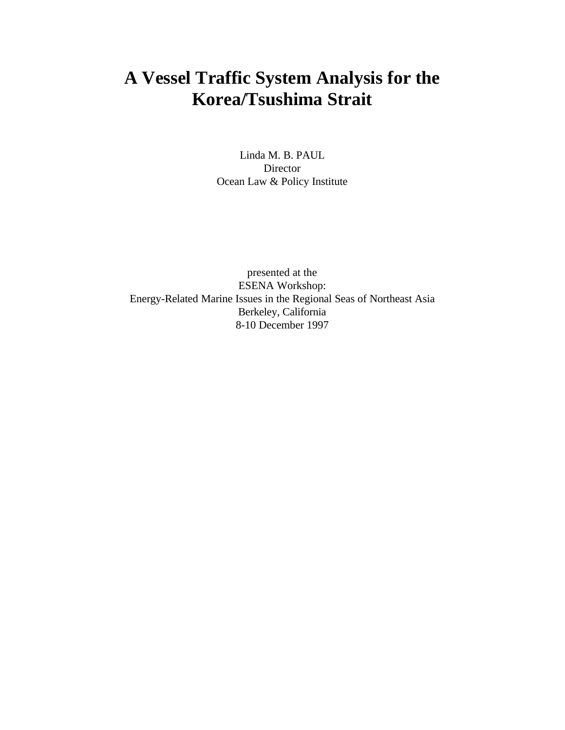# **A Vessel Traffic System Analysis for the Korea/Tsushima Strait**

Linda M. B. PAUL Director Ocean Law & Policy Institute

presented at the ESENA Workshop: Energy-Related Marine Issues in the Regional Seas of Northeast Asia Berkeley, California 8-10 December 1997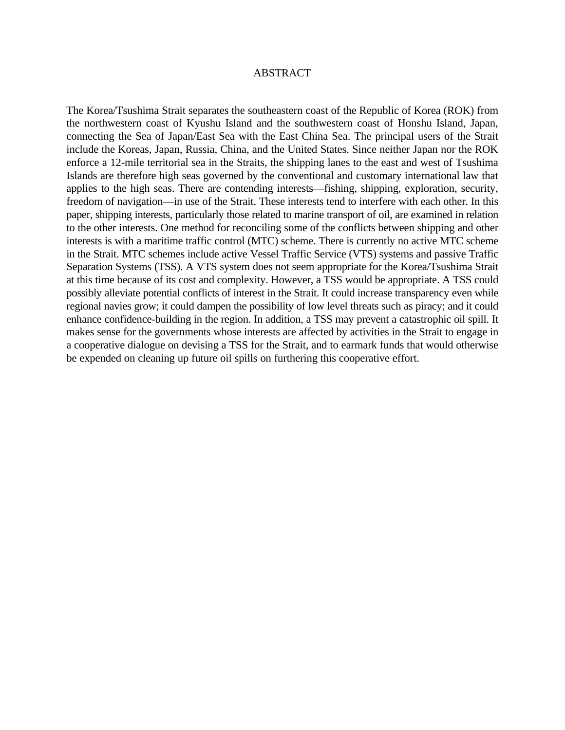#### ABSTRACT

The Korea/Tsushima Strait separates the southeastern coast of the Republic of Korea (ROK) from the northwestern coast of Kyushu Island and the southwestern coast of Honshu Island, Japan, connecting the Sea of Japan/East Sea with the East China Sea. The principal users of the Strait include the Koreas, Japan, Russia, China, and the United States. Since neither Japan nor the ROK enforce a 12-mile territorial sea in the Straits, the shipping lanes to the east and west of Tsushima Islands are therefore high seas governed by the conventional and customary international law that applies to the high seas. There are contending interests—fishing, shipping, exploration, security, freedom of navigation—in use of the Strait. These interests tend to interfere with each other. In this paper, shipping interests, particularly those related to marine transport of oil, are examined in relation to the other interests. One method for reconciling some of the conflicts between shipping and other interests is with a maritime traffic control (MTC) scheme. There is currently no active MTC scheme in the Strait. MTC schemes include active Vessel Traffic Service (VTS) systems and passive Traffic Separation Systems (TSS). A VTS system does not seem appropriate for the Korea/Tsushima Strait at this time because of its cost and complexity. However, a TSS would be appropriate. A TSS could possibly alleviate potential conflicts of interest in the Strait. It could increase transparency even while regional navies grow; it could dampen the possibility of low level threats such as piracy; and it could enhance confidence-building in the region. In addition, a TSS may prevent a catastrophic oil spill. It makes sense for the governments whose interests are affected by activities in the Strait to engage in a cooperative dialogue on devising a TSS for the Strait, and to earmark funds that would otherwise be expended on cleaning up future oil spills on furthering this cooperative effort.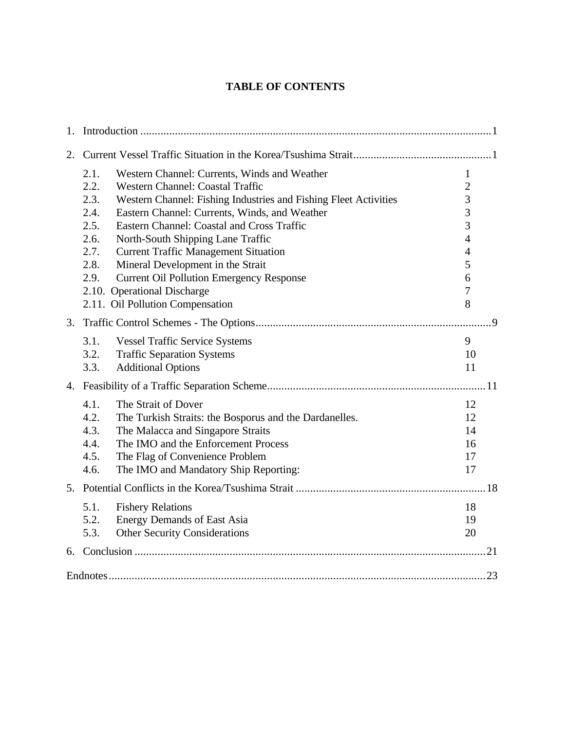# **TABLE OF CONTENTS**

| $1_{-}$ |                                                                                                                                                                                                                                                                                                                                                                                                                                                                                                                                                                                   |                                                                                                                    |
|---------|-----------------------------------------------------------------------------------------------------------------------------------------------------------------------------------------------------------------------------------------------------------------------------------------------------------------------------------------------------------------------------------------------------------------------------------------------------------------------------------------------------------------------------------------------------------------------------------|--------------------------------------------------------------------------------------------------------------------|
| 2.      |                                                                                                                                                                                                                                                                                                                                                                                                                                                                                                                                                                                   |                                                                                                                    |
|         | 2.1.<br>Western Channel: Currents, Winds and Weather<br>2.2.<br><b>Western Channel: Coastal Traffic</b><br>2.3.<br>Western Channel: Fishing Industries and Fishing Fleet Activities<br>2.4.<br>Eastern Channel: Currents, Winds, and Weather<br>2.5.<br>Eastern Channel: Coastal and Cross Traffic<br>2.6.<br>North-South Shipping Lane Traffic<br>2.7.<br><b>Current Traffic Management Situation</b><br>Mineral Development in the Strait<br>2.8.<br><b>Current Oil Pollution Emergency Response</b><br>2.9.<br>2.10. Operational Discharge<br>2.11. Oil Pollution Compensation | $\mathbf{1}$<br>$\overline{2}$<br>3<br>3<br>3<br>$\overline{4}$<br>$\overline{4}$<br>5<br>6<br>$\overline{7}$<br>8 |
| 3.      |                                                                                                                                                                                                                                                                                                                                                                                                                                                                                                                                                                                   |                                                                                                                    |
|         | 3.1.<br><b>Vessel Traffic Service Systems</b><br>3.2.<br><b>Traffic Separation Systems</b><br><b>Additional Options</b><br>3.3.                                                                                                                                                                                                                                                                                                                                                                                                                                                   | 9<br>10<br>11                                                                                                      |
|         |                                                                                                                                                                                                                                                                                                                                                                                                                                                                                                                                                                                   |                                                                                                                    |
|         | 4.1.<br>The Strait of Dover<br>4.2.<br>The Turkish Straits: the Bosporus and the Dardanelles.<br>4.3.<br>The Malacca and Singapore Straits<br>4.4.<br>The IMO and the Enforcement Process<br>The Flag of Convenience Problem<br>4.5.<br>The IMO and Mandatory Ship Reporting:<br>4.6.                                                                                                                                                                                                                                                                                             | 12<br>12<br>14<br>16<br>17<br>17                                                                                   |
|         |                                                                                                                                                                                                                                                                                                                                                                                                                                                                                                                                                                                   |                                                                                                                    |
|         | 5.1.<br><b>Fishery Relations</b><br><b>Energy Demands of East Asia</b><br>5.2.<br><b>Other Security Considerations</b><br>5.3.                                                                                                                                                                                                                                                                                                                                                                                                                                                    | 18<br>19<br>20                                                                                                     |
|         |                                                                                                                                                                                                                                                                                                                                                                                                                                                                                                                                                                                   |                                                                                                                    |
|         |                                                                                                                                                                                                                                                                                                                                                                                                                                                                                                                                                                                   |                                                                                                                    |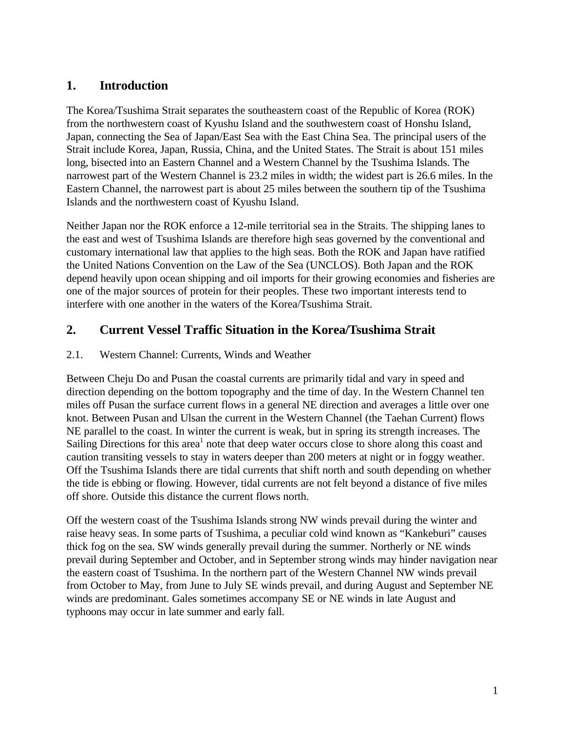# **1. Introduction**

The Korea/Tsushima Strait separates the southeastern coast of the Republic of Korea (ROK) from the northwestern coast of Kyushu Island and the southwestern coast of Honshu Island, Japan, connecting the Sea of Japan/East Sea with the East China Sea. The principal users of the Strait include Korea, Japan, Russia, China, and the United States. The Strait is about 151 miles long, bisected into an Eastern Channel and a Western Channel by the Tsushima Islands. The narrowest part of the Western Channel is 23.2 miles in width; the widest part is 26.6 miles. In the Eastern Channel, the narrowest part is about 25 miles between the southern tip of the Tsushima Islands and the northwestern coast of Kyushu Island.

Neither Japan nor the ROK enforce a 12-mile territorial sea in the Straits. The shipping lanes to the east and west of Tsushima Islands are therefore high seas governed by the conventional and customary international law that applies to the high seas. Both the ROK and Japan have ratified the United Nations Convention on the Law of the Sea (UNCLOS). Both Japan and the ROK depend heavily upon ocean shipping and oil imports for their growing economies and fisheries are one of the major sources of protein for their peoples. These two important interests tend to interfere with one another in the waters of the Korea/Tsushima Strait.

# **2. Current Vessel Traffic Situation in the Korea/Tsushima Strait**

# 2.1. Western Channel: Currents, Winds and Weather

Between Cheju Do and Pusan the coastal currents are primarily tidal and vary in speed and direction depending on the bottom topography and the time of day. In the Western Channel ten miles off Pusan the surface current flows in a general NE direction and averages a little over one knot. Between Pusan and Ulsan the current in the Western Channel (the Taehan Current) flows NE parallel to the coast. In winter the current is weak, but in spring its strength increases. The Sailing Directions for this area<sup>1</sup> note that deep water occurs close to shore along this coast and caution transiting vessels to stay in waters deeper than 200 meters at night or in foggy weather. Off the Tsushima Islands there are tidal currents that shift north and south depending on whether the tide is ebbing or flowing. However, tidal currents are not felt beyond a distance of five miles off shore. Outside this distance the current flows north.

Off the western coast of the Tsushima Islands strong NW winds prevail during the winter and raise heavy seas. In some parts of Tsushima, a peculiar cold wind known as "Kankeburi" causes thick fog on the sea. SW winds generally prevail during the summer. Northerly or NE winds prevail during September and October, and in September strong winds may hinder navigation near the eastern coast of Tsushima. In the northern part of the Western Channel NW winds prevail from October to May, from June to July SE winds prevail, and during August and September NE winds are predominant. Gales sometimes accompany SE or NE winds in late August and typhoons may occur in late summer and early fall.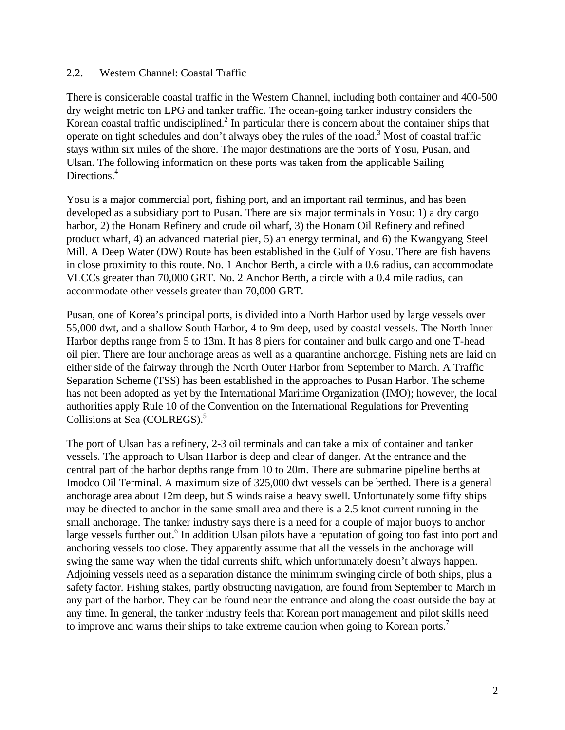#### 2.2. Western Channel: Coastal Traffic

There is considerable coastal traffic in the Western Channel, including both container and 400-500 dry weight metric ton LPG and tanker traffic. The ocean-going tanker industry considers the Korean coastal traffic undisciplined.<sup>2</sup> In particular there is concern about the container ships that operate on tight schedules and don't always obey the rules of the road.<sup>3</sup> Most of coastal traffic stays within six miles of the shore. The major destinations are the ports of Yosu, Pusan, and Ulsan. The following information on these ports was taken from the applicable Sailing Directions.<sup>4</sup>

Yosu is a major commercial port, fishing port, and an important rail terminus, and has been developed as a subsidiary port to Pusan. There are six major terminals in Yosu: 1) a dry cargo harbor, 2) the Honam Refinery and crude oil wharf, 3) the Honam Oil Refinery and refined product wharf, 4) an advanced material pier, 5) an energy terminal, and 6) the Kwangyang Steel Mill. A Deep Water (DW) Route has been established in the Gulf of Yosu. There are fish havens in close proximity to this route. No. 1 Anchor Berth, a circle with a 0.6 radius, can accommodate VLCCs greater than 70,000 GRT. No. 2 Anchor Berth, a circle with a 0.4 mile radius, can accommodate other vessels greater than 70,000 GRT.

Pusan, one of Korea's principal ports, is divided into a North Harbor used by large vessels over 55,000 dwt, and a shallow South Harbor, 4 to 9m deep, used by coastal vessels. The North Inner Harbor depths range from 5 to 13m. It has 8 piers for container and bulk cargo and one T-head oil pier. There are four anchorage areas as well as a quarantine anchorage. Fishing nets are laid on either side of the fairway through the North Outer Harbor from September to March. A Traffic Separation Scheme (TSS) has been established in the approaches to Pusan Harbor. The scheme has not been adopted as yet by the International Maritime Organization (IMO); however, the local authorities apply Rule 10 of the Convention on the International Regulations for Preventing Collisions at Sea (COLREGS).<sup>5</sup>

The port of Ulsan has a refinery, 2-3 oil terminals and can take a mix of container and tanker vessels. The approach to Ulsan Harbor is deep and clear of danger. At the entrance and the central part of the harbor depths range from 10 to 20m. There are submarine pipeline berths at Imodco Oil Terminal. A maximum size of 325,000 dwt vessels can be berthed. There is a general anchorage area about 12m deep, but S winds raise a heavy swell. Unfortunately some fifty ships may be directed to anchor in the same small area and there is a 2.5 knot current running in the small anchorage. The tanker industry says there is a need for a couple of major buoys to anchor large vessels further out.<sup>6</sup> In addition Ulsan pilots have a reputation of going too fast into port and anchoring vessels too close. They apparently assume that all the vessels in the anchorage will swing the same way when the tidal currents shift, which unfortunately doesn't always happen. Adjoining vessels need as a separation distance the minimum swinging circle of both ships, plus a safety factor. Fishing stakes, partly obstructing navigation, are found from September to March in any part of the harbor. They can be found near the entrance and along the coast outside the bay at any time. In general, the tanker industry feels that Korean port management and pilot skills need to improve and warns their ships to take extreme caution when going to Korean ports.<sup>7</sup>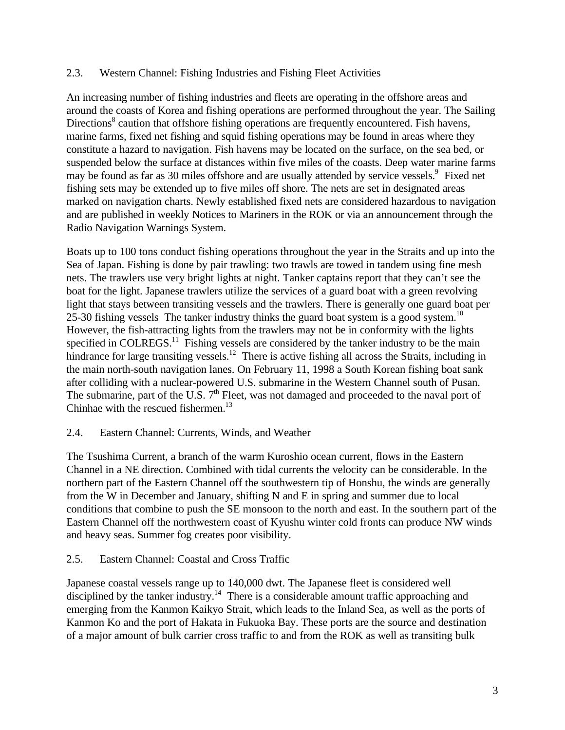#### 2.3. Western Channel: Fishing Industries and Fishing Fleet Activities

An increasing number of fishing industries and fleets are operating in the offshore areas and around the coasts of Korea and fishing operations are performed throughout the year. The Sailing Directions<sup>8</sup> caution that offshore fishing operations are frequently encountered. Fish havens, marine farms, fixed net fishing and squid fishing operations may be found in areas where they constitute a hazard to navigation. Fish havens may be located on the surface, on the sea bed, or suspended below the surface at distances within five miles of the coasts. Deep water marine farms may be found as far as 30 miles offshore and are usually attended by service vessels.<sup>9</sup> Fixed net fishing sets may be extended up to five miles off shore. The nets are set in designated areas marked on navigation charts. Newly established fixed nets are considered hazardous to navigation and are published in weekly Notices to Mariners in the ROK or via an announcement through the Radio Navigation Warnings System.

Boats up to 100 tons conduct fishing operations throughout the year in the Straits and up into the Sea of Japan. Fishing is done by pair trawling: two trawls are towed in tandem using fine mesh nets. The trawlers use very bright lights at night. Tanker captains report that they can't see the boat for the light. Japanese trawlers utilize the services of a guard boat with a green revolving light that stays between transiting vessels and the trawlers. There is generally one guard boat per 25-30 fishing vessels The tanker industry thinks the guard boat system is a good system.<sup>10</sup> However, the fish-attracting lights from the trawlers may not be in conformity with the lights specified in COLREGS.<sup>11</sup> Fishing vessels are considered by the tanker industry to be the main hindrance for large transiting vessels.<sup>12</sup> There is active fishing all across the Straits, including in the main north-south navigation lanes. On February 11, 1998 a South Korean fishing boat sank after colliding with a nuclear-powered U.S. submarine in the Western Channel south of Pusan. The submarine, part of the U.S.  $7<sup>th</sup>$  Fleet, was not damaged and proceeded to the naval port of Chinhae with the rescued fishermen. $^{13}$ 

# 2.4. Eastern Channel: Currents, Winds, and Weather

The Tsushima Current, a branch of the warm Kuroshio ocean current, flows in the Eastern Channel in a NE direction. Combined with tidal currents the velocity can be considerable. In the northern part of the Eastern Channel off the southwestern tip of Honshu, the winds are generally from the W in December and January, shifting N and E in spring and summer due to local conditions that combine to push the SE monsoon to the north and east. In the southern part of the Eastern Channel off the northwestern coast of Kyushu winter cold fronts can produce NW winds and heavy seas. Summer fog creates poor visibility.

#### 2.5. Eastern Channel: Coastal and Cross Traffic

Japanese coastal vessels range up to 140,000 dwt. The Japanese fleet is considered well disciplined by the tanker industry.<sup>14</sup> There is a considerable amount traffic approaching and emerging from the Kanmon Kaikyo Strait, which leads to the Inland Sea, as well as the ports of Kanmon Ko and the port of Hakata in Fukuoka Bay. These ports are the source and destination of a major amount of bulk carrier cross traffic to and from the ROK as well as transiting bulk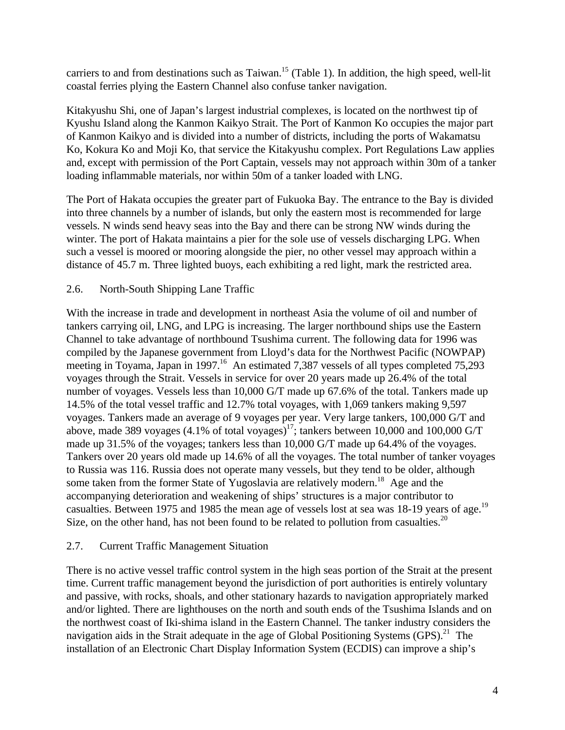carriers to and from destinations such as Taiwan.<sup>15</sup> (Table 1). In addition, the high speed, well-lit coastal ferries plying the Eastern Channel also confuse tanker navigation.

Kitakyushu Shi, one of Japan's largest industrial complexes, is located on the northwest tip of Kyushu Island along the Kanmon Kaikyo Strait. The Port of Kanmon Ko occupies the major part of Kanmon Kaikyo and is divided into a number of districts, including the ports of Wakamatsu Ko, Kokura Ko and Moji Ko, that service the Kitakyushu complex. Port Regulations Law applies and, except with permission of the Port Captain, vessels may not approach within 30m of a tanker loading inflammable materials, nor within 50m of a tanker loaded with LNG.

The Port of Hakata occupies the greater part of Fukuoka Bay. The entrance to the Bay is divided into three channels by a number of islands, but only the eastern most is recommended for large vessels. N winds send heavy seas into the Bay and there can be strong NW winds during the winter. The port of Hakata maintains a pier for the sole use of vessels discharging LPG. When such a vessel is moored or mooring alongside the pier, no other vessel may approach within a distance of 45.7 m. Three lighted buoys, each exhibiting a red light, mark the restricted area.

# 2.6. North-South Shipping Lane Traffic

With the increase in trade and development in northeast Asia the volume of oil and number of tankers carrying oil, LNG, and LPG is increasing. The larger northbound ships use the Eastern Channel to take advantage of northbound Tsushima current. The following data for 1996 was compiled by the Japanese government from Lloyd's data for the Northwest Pacific (NOWPAP) meeting in Toyama, Japan in 1997.<sup>16</sup> An estimated 7,387 vessels of all types completed 75,293 voyages through the Strait. Vessels in service for over 20 years made up 26.4% of the total number of voyages. Vessels less than 10,000 G/T made up 67.6% of the total. Tankers made up 14.5% of the total vessel traffic and 12.7% total voyages, with 1,069 tankers making 9,597 voyages. Tankers made an average of 9 voyages per year. Very large tankers, 100,000 G/T and above, made 389 voyages (4.1% of total voyages)<sup>17</sup>; tankers between 10,000 and 100,000 G/T made up 31.5% of the voyages; tankers less than 10,000 G/T made up 64.4% of the voyages. Tankers over 20 years old made up 14.6% of all the voyages. The total number of tanker voyages to Russia was 116. Russia does not operate many vessels, but they tend to be older, although some taken from the former State of Yugoslavia are relatively modern.<sup>18</sup> Age and the accompanying deterioration and weakening of ships' structures is a major contributor to casualties. Between 1975 and 1985 the mean age of vessels lost at sea was 18-19 years of age.<sup>19</sup> Size, on the other hand, has not been found to be related to pollution from casualties.<sup>20</sup>

# 2.7. Current Traffic Management Situation

There is no active vessel traffic control system in the high seas portion of the Strait at the present time. Current traffic management beyond the jurisdiction of port authorities is entirely voluntary and passive, with rocks, shoals, and other stationary hazards to navigation appropriately marked and/or lighted. There are lighthouses on the north and south ends of the Tsushima Islands and on the northwest coast of Iki-shima island in the Eastern Channel. The tanker industry considers the navigation aids in the Strait adequate in the age of Global Positioning Systems  $(GPS)^{21}$  The installation of an Electronic Chart Display Information System (ECDIS) can improve a ship's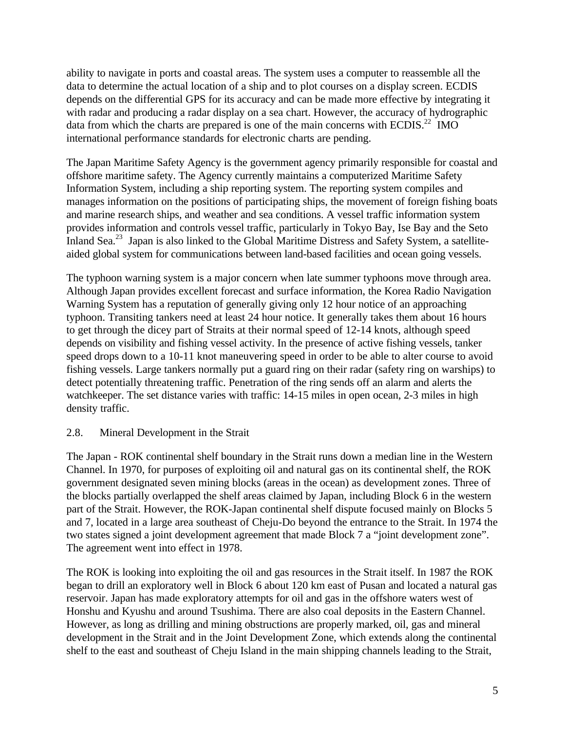ability to navigate in ports and coastal areas. The system uses a computer to reassemble all the data to determine the actual location of a ship and to plot courses on a display screen. ECDIS depends on the differential GPS for its accuracy and can be made more effective by integrating it with radar and producing a radar display on a sea chart. However, the accuracy of hydrographic data from which the charts are prepared is one of the main concerns with ECDIS.<sup>22</sup> IMO international performance standards for electronic charts are pending.

The Japan Maritime Safety Agency is the government agency primarily responsible for coastal and offshore maritime safety. The Agency currently maintains a computerized Maritime Safety Information System, including a ship reporting system. The reporting system compiles and manages information on the positions of participating ships, the movement of foreign fishing boats and marine research ships, and weather and sea conditions. A vessel traffic information system provides information and controls vessel traffic, particularly in Tokyo Bay, Ise Bay and the Seto Inland Sea.<sup>23</sup> Japan is also linked to the Global Maritime Distress and Safety System, a satelliteaided global system for communications between land-based facilities and ocean going vessels.

The typhoon warning system is a major concern when late summer typhoons move through area. Although Japan provides excellent forecast and surface information, the Korea Radio Navigation Warning System has a reputation of generally giving only 12 hour notice of an approaching typhoon. Transiting tankers need at least 24 hour notice. It generally takes them about 16 hours to get through the dicey part of Straits at their normal speed of 12-14 knots, although speed depends on visibility and fishing vessel activity. In the presence of active fishing vessels, tanker speed drops down to a 10-11 knot maneuvering speed in order to be able to alter course to avoid fishing vessels. Large tankers normally put a guard ring on their radar (safety ring on warships) to detect potentially threatening traffic. Penetration of the ring sends off an alarm and alerts the watchkeeper. The set distance varies with traffic: 14-15 miles in open ocean, 2-3 miles in high density traffic.

# 2.8. Mineral Development in the Strait

The Japan - ROK continental shelf boundary in the Strait runs down a median line in the Western Channel. In 1970, for purposes of exploiting oil and natural gas on its continental shelf, the ROK government designated seven mining blocks (areas in the ocean) as development zones. Three of the blocks partially overlapped the shelf areas claimed by Japan, including Block 6 in the western part of the Strait. However, the ROK-Japan continental shelf dispute focused mainly on Blocks 5 and 7, located in a large area southeast of Cheju-Do beyond the entrance to the Strait. In 1974 the two states signed a joint development agreement that made Block 7 a "joint development zone". The agreement went into effect in 1978.

The ROK is looking into exploiting the oil and gas resources in the Strait itself. In 1987 the ROK began to drill an exploratory well in Block 6 about 120 km east of Pusan and located a natural gas reservoir. Japan has made exploratory attempts for oil and gas in the offshore waters west of Honshu and Kyushu and around Tsushima. There are also coal deposits in the Eastern Channel. However, as long as drilling and mining obstructions are properly marked, oil, gas and mineral development in the Strait and in the Joint Development Zone, which extends along the continental shelf to the east and southeast of Cheju Island in the main shipping channels leading to the Strait,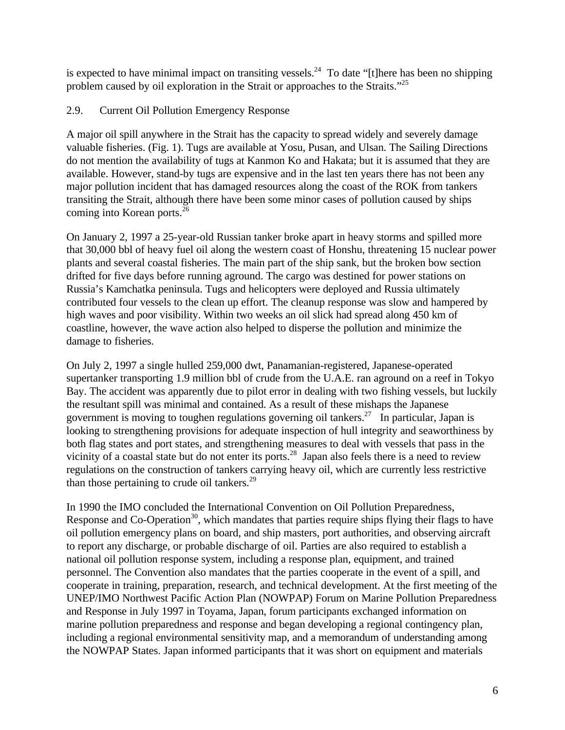is expected to have minimal impact on transiting vessels.<sup>24</sup> To date "[t] here has been no shipping problem caused by oil exploration in the Strait or approaches to the Straits."<sup>25</sup>

# 2.9. Current Oil Pollution Emergency Response

A major oil spill anywhere in the Strait has the capacity to spread widely and severely damage valuable fisheries. (Fig. 1). Tugs are available at Yosu, Pusan, and Ulsan. The Sailing Directions do not mention the availability of tugs at Kanmon Ko and Hakata; but it is assumed that they are available. However, stand-by tugs are expensive and in the last ten years there has not been any major pollution incident that has damaged resources along the coast of the ROK from tankers transiting the Strait, although there have been some minor cases of pollution caused by ships coming into Korean ports.<sup>26</sup>

On January 2, 1997 a 25-year-old Russian tanker broke apart in heavy storms and spilled more that 30,000 bbl of heavy fuel oil along the western coast of Honshu, threatening 15 nuclear power plants and several coastal fisheries. The main part of the ship sank, but the broken bow section drifted for five days before running aground. The cargo was destined for power stations on Russia's Kamchatka peninsula. Tugs and helicopters were deployed and Russia ultimately contributed four vessels to the clean up effort. The cleanup response was slow and hampered by high waves and poor visibility. Within two weeks an oil slick had spread along 450 km of coastline, however, the wave action also helped to disperse the pollution and minimize the damage to fisheries.

On July 2, 1997 a single hulled 259,000 dwt, Panamanian-registered, Japanese-operated supertanker transporting 1.9 million bbl of crude from the U.A.E. ran aground on a reef in Tokyo Bay. The accident was apparently due to pilot error in dealing with two fishing vessels, but luckily the resultant spill was minimal and contained. As a result of these mishaps the Japanese government is moving to toughen regulations governing oil tankers.<sup>27</sup> In particular, Japan is looking to strengthening provisions for adequate inspection of hull integrity and seaworthiness by both flag states and port states, and strengthening measures to deal with vessels that pass in the vicinity of a coastal state but do not enter its ports.<sup>28</sup> Japan also feels there is a need to review regulations on the construction of tankers carrying heavy oil, which are currently less restrictive than those pertaining to crude oil tankers. $29$ 

In 1990 the IMO concluded the International Convention on Oil Pollution Preparedness, Response and Co-Operation<sup>30</sup>, which mandates that parties require ships flying their flags to have oil pollution emergency plans on board, and ship masters, port authorities, and observing aircraft to report any discharge, or probable discharge of oil. Parties are also required to establish a national oil pollution response system, including a response plan, equipment, and trained personnel. The Convention also mandates that the parties cooperate in the event of a spill, and cooperate in training, preparation, research, and technical development. At the first meeting of the UNEP/IMO Northwest Pacific Action Plan (NOWPAP) Forum on Marine Pollution Preparedness and Response in July 1997 in Toyama, Japan, forum participants exchanged information on marine pollution preparedness and response and began developing a regional contingency plan, including a regional environmental sensitivity map, and a memorandum of understanding among the NOWPAP States. Japan informed participants that it was short on equipment and materials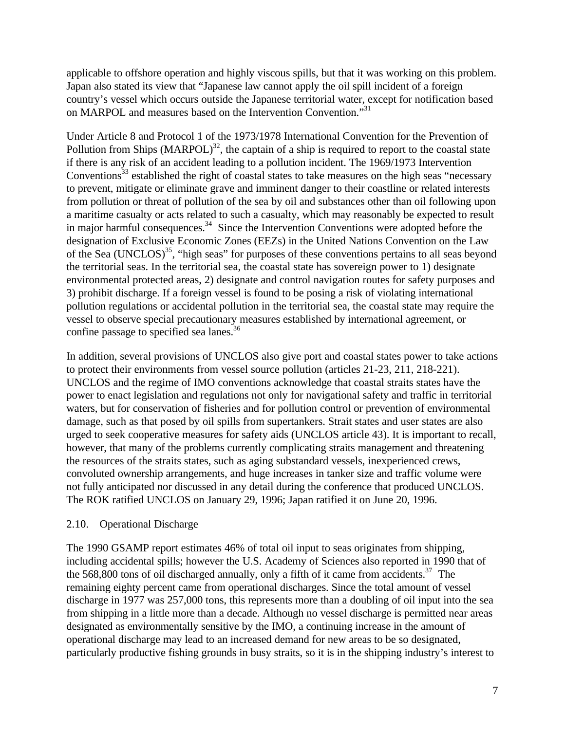applicable to offshore operation and highly viscous spills, but that it was working on this problem. Japan also stated its view that "Japanese law cannot apply the oil spill incident of a foreign country's vessel which occurs outside the Japanese territorial water, except for notification based on MARPOL and measures based on the Intervention Convention."31

Under Article 8 and Protocol 1 of the 1973/1978 International Convention for the Prevention of Pollution from Ships  $(MARPOL)^{32}$ , the captain of a ship is required to report to the coastal state if there is any risk of an accident leading to a pollution incident. The 1969/1973 Intervention Conventions<sup>33</sup> established the right of coastal states to take measures on the high seas "necessary" to prevent, mitigate or eliminate grave and imminent danger to their coastline or related interests from pollution or threat of pollution of the sea by oil and substances other than oil following upon a maritime casualty or acts related to such a casualty, which may reasonably be expected to result in major harmful consequences.<sup>34</sup> Since the Intervention Conventions were adopted before the designation of Exclusive Economic Zones (EEZs) in the United Nations Convention on the Law of the Sea (UNCLOS)<sup>35</sup>, "high seas" for purposes of these conventions pertains to all seas beyond the territorial seas. In the territorial sea, the coastal state has sovereign power to 1) designate environmental protected areas, 2) designate and control navigation routes for safety purposes and 3) prohibit discharge. If a foreign vessel is found to be posing a risk of violating international pollution regulations or accidental pollution in the territorial sea, the coastal state may require the vessel to observe special precautionary measures established by international agreement, or confine passage to specified sea lanes.<sup>36</sup>

In addition, several provisions of UNCLOS also give port and coastal states power to take actions to protect their environments from vessel source pollution (articles 21-23, 211, 218-221). UNCLOS and the regime of IMO conventions acknowledge that coastal straits states have the power to enact legislation and regulations not only for navigational safety and traffic in territorial waters, but for conservation of fisheries and for pollution control or prevention of environmental damage, such as that posed by oil spills from supertankers. Strait states and user states are also urged to seek cooperative measures for safety aids (UNCLOS article 43). It is important to recall, however, that many of the problems currently complicating straits management and threatening the resources of the straits states, such as aging substandard vessels, inexperienced crews, convoluted ownership arrangements, and huge increases in tanker size and traffic volume were not fully anticipated nor discussed in any detail during the conference that produced UNCLOS. The ROK ratified UNCLOS on January 29, 1996; Japan ratified it on June 20, 1996.

# 2.10. Operational Discharge

The 1990 GSAMP report estimates 46% of total oil input to seas originates from shipping, including accidental spills; however the U.S. Academy of Sciences also reported in 1990 that of the 568,800 tons of oil discharged annually, only a fifth of it came from accidents. $37$  The remaining eighty percent came from operational discharges. Since the total amount of vessel discharge in 1977 was 257,000 tons, this represents more than a doubling of oil input into the sea from shipping in a little more than a decade. Although no vessel discharge is permitted near areas designated as environmentally sensitive by the IMO, a continuing increase in the amount of operational discharge may lead to an increased demand for new areas to be so designated, particularly productive fishing grounds in busy straits, so it is in the shipping industry's interest to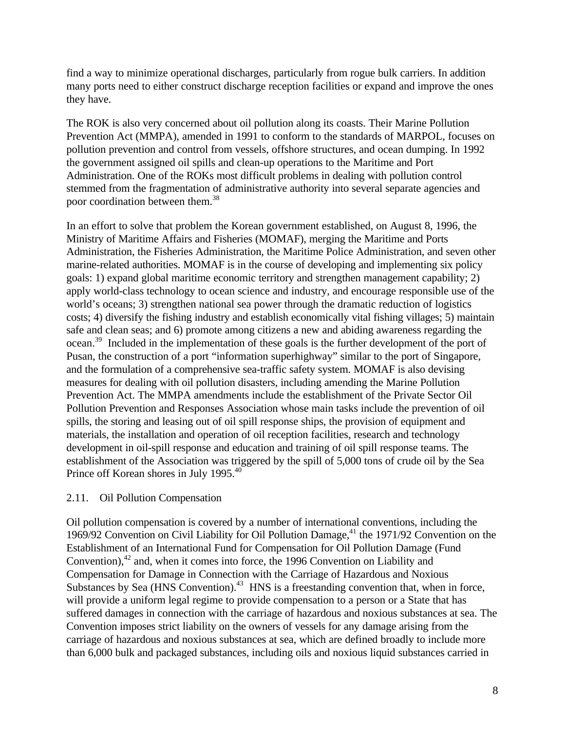find a way to minimize operational discharges, particularly from rogue bulk carriers. In addition many ports need to either construct discharge reception facilities or expand and improve the ones they have.

The ROK is also very concerned about oil pollution along its coasts. Their Marine Pollution Prevention Act (MMPA), amended in 1991 to conform to the standards of MARPOL, focuses on pollution prevention and control from vessels, offshore structures, and ocean dumping. In 1992 the government assigned oil spills and clean-up operations to the Maritime and Port Administration. One of the ROKs most difficult problems in dealing with pollution control stemmed from the fragmentation of administrative authority into several separate agencies and poor coordination between them.<sup>38</sup>

In an effort to solve that problem the Korean government established, on August 8, 1996, the Ministry of Maritime Affairs and Fisheries (MOMAF), merging the Maritime and Ports Administration, the Fisheries Administration, the Maritime Police Administration, and seven other marine-related authorities. MOMAF is in the course of developing and implementing six policy goals: 1) expand global maritime economic territory and strengthen management capability; 2) apply world-class technology to ocean science and industry, and encourage responsible use of the world's oceans; 3) strengthen national sea power through the dramatic reduction of logistics costs; 4) diversify the fishing industry and establish economically vital fishing villages; 5) maintain safe and clean seas; and 6) promote among citizens a new and abiding awareness regarding the ocean.<sup>39</sup> Included in the implementation of these goals is the further development of the port of Pusan, the construction of a port "information superhighway" similar to the port of Singapore, and the formulation of a comprehensive sea-traffic safety system. MOMAF is also devising measures for dealing with oil pollution disasters, including amending the Marine Pollution Prevention Act. The MMPA amendments include the establishment of the Private Sector Oil Pollution Prevention and Responses Association whose main tasks include the prevention of oil spills, the storing and leasing out of oil spill response ships, the provision of equipment and materials, the installation and operation of oil reception facilities, research and technology development in oil-spill response and education and training of oil spill response teams. The establishment of the Association was triggered by the spill of 5,000 tons of crude oil by the Sea Prince off Korean shores in July 1995.<sup>40</sup>

#### 2.11. Oil Pollution Compensation

Oil pollution compensation is covered by a number of international conventions, including the 1969/92 Convention on Civil Liability for Oil Pollution Damage,<sup>41</sup> the 1971/92 Convention on the Establishment of an International Fund for Compensation for Oil Pollution Damage (Fund Convention), $42$  and, when it comes into force, the 1996 Convention on Liability and Compensation for Damage in Connection with the Carriage of Hazardous and Noxious Substances by Sea (HNS Convention).<sup>43</sup> HNS is a freestanding convention that, when in force, will provide a uniform legal regime to provide compensation to a person or a State that has suffered damages in connection with the carriage of hazardous and noxious substances at sea. The Convention imposes strict liability on the owners of vessels for any damage arising from the carriage of hazardous and noxious substances at sea, which are defined broadly to include more than 6,000 bulk and packaged substances, including oils and noxious liquid substances carried in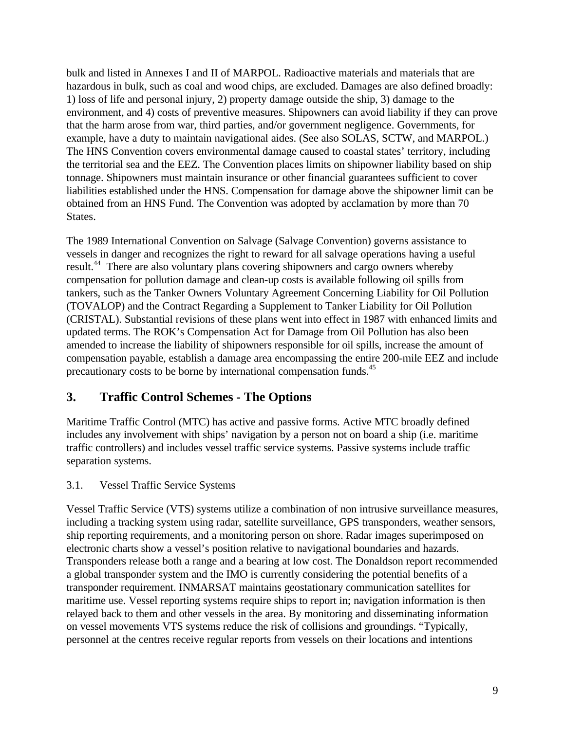bulk and listed in Annexes I and II of MARPOL. Radioactive materials and materials that are hazardous in bulk, such as coal and wood chips, are excluded. Damages are also defined broadly: 1) loss of life and personal injury, 2) property damage outside the ship, 3) damage to the environment, and 4) costs of preventive measures. Shipowners can avoid liability if they can prove that the harm arose from war, third parties, and/or government negligence. Governments, for example, have a duty to maintain navigational aides. (See also SOLAS, SCTW, and MARPOL.) The HNS Convention covers environmental damage caused to coastal states' territory, including the territorial sea and the EEZ. The Convention places limits on shipowner liability based on ship tonnage. Shipowners must maintain insurance or other financial guarantees sufficient to cover liabilities established under the HNS. Compensation for damage above the shipowner limit can be obtained from an HNS Fund. The Convention was adopted by acclamation by more than 70 States.

The 1989 International Convention on Salvage (Salvage Convention) governs assistance to vessels in danger and recognizes the right to reward for all salvage operations having a useful result.<sup>44</sup> There are also voluntary plans covering shipowners and cargo owners whereby compensation for pollution damage and clean-up costs is available following oil spills from tankers, such as the Tanker Owners Voluntary Agreement Concerning Liability for Oil Pollution (TOVALOP) and the Contract Regarding a Supplement to Tanker Liability for Oil Pollution (CRISTAL). Substantial revisions of these plans went into effect in 1987 with enhanced limits and updated terms. The ROK's Compensation Act for Damage from Oil Pollution has also been amended to increase the liability of shipowners responsible for oil spills, increase the amount of compensation payable, establish a damage area encompassing the entire 200-mile EEZ and include precautionary costs to be borne by international compensation funds.<sup>45</sup>

# **3. Traffic Control Schemes - The Options**

Maritime Traffic Control (MTC) has active and passive forms. Active MTC broadly defined includes any involvement with ships' navigation by a person not on board a ship (i.e. maritime traffic controllers) and includes vessel traffic service systems. Passive systems include traffic separation systems.

# 3.1. Vessel Traffic Service Systems

Vessel Traffic Service (VTS) systems utilize a combination of non intrusive surveillance measures, including a tracking system using radar, satellite surveillance, GPS transponders, weather sensors, ship reporting requirements, and a monitoring person on shore. Radar images superimposed on electronic charts show a vessel's position relative to navigational boundaries and hazards. Transponders release both a range and a bearing at low cost. The Donaldson report recommended a global transponder system and the IMO is currently considering the potential benefits of a transponder requirement. INMARSAT maintains geostationary communication satellites for maritime use. Vessel reporting systems require ships to report in; navigation information is then relayed back to them and other vessels in the area. By monitoring and disseminating information on vessel movements VTS systems reduce the risk of collisions and groundings. "Typically, personnel at the centres receive regular reports from vessels on their locations and intentions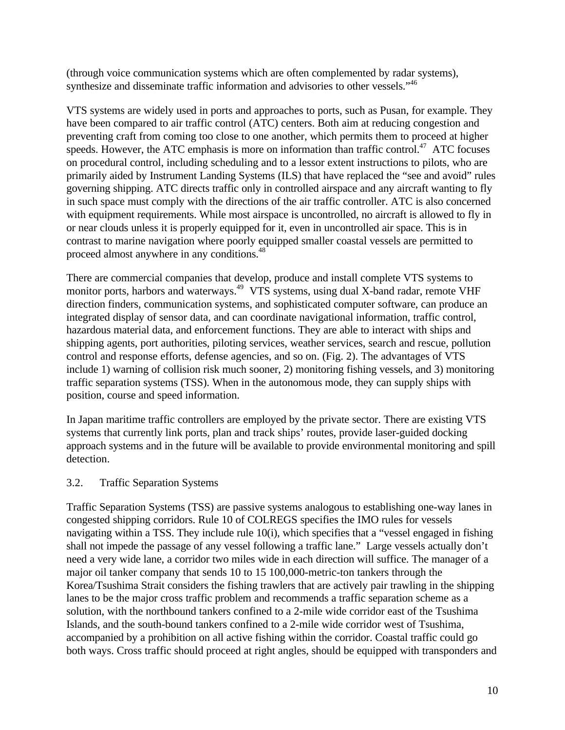(through voice communication systems which are often complemented by radar systems), synthesize and disseminate traffic information and advisories to other vessels."<sup>46</sup>

VTS systems are widely used in ports and approaches to ports, such as Pusan, for example. They have been compared to air traffic control (ATC) centers. Both aim at reducing congestion and preventing craft from coming too close to one another, which permits them to proceed at higher speeds. However, the ATC emphasis is more on information than traffic control.<sup>47</sup> ATC focuses on procedural control, including scheduling and to a lessor extent instructions to pilots, who are primarily aided by Instrument Landing Systems (ILS) that have replaced the "see and avoid" rules governing shipping. ATC directs traffic only in controlled airspace and any aircraft wanting to fly in such space must comply with the directions of the air traffic controller. ATC is also concerned with equipment requirements. While most airspace is uncontrolled, no aircraft is allowed to fly in or near clouds unless it is properly equipped for it, even in uncontrolled air space. This is in contrast to marine navigation where poorly equipped smaller coastal vessels are permitted to proceed almost anywhere in any conditions.<sup>48</sup>

There are commercial companies that develop, produce and install complete VTS systems to monitor ports, harbors and waterways.<sup>49</sup> VTS systems, using dual X-band radar, remote VHF direction finders, communication systems, and sophisticated computer software, can produce an integrated display of sensor data, and can coordinate navigational information, traffic control, hazardous material data, and enforcement functions. They are able to interact with ships and shipping agents, port authorities, piloting services, weather services, search and rescue, pollution control and response efforts, defense agencies, and so on. (Fig. 2). The advantages of VTS include 1) warning of collision risk much sooner, 2) monitoring fishing vessels, and 3) monitoring traffic separation systems (TSS). When in the autonomous mode, they can supply ships with position, course and speed information.

In Japan maritime traffic controllers are employed by the private sector. There are existing VTS systems that currently link ports, plan and track ships' routes, provide laser-guided docking approach systems and in the future will be available to provide environmental monitoring and spill detection.

#### 3.2. Traffic Separation Systems

Traffic Separation Systems (TSS) are passive systems analogous to establishing one-way lanes in congested shipping corridors. Rule 10 of COLREGS specifies the IMO rules for vessels navigating within a TSS. They include rule 10(i), which specifies that a "vessel engaged in fishing shall not impede the passage of any vessel following a traffic lane." Large vessels actually don't need a very wide lane, a corridor two miles wide in each direction will suffice. The manager of a major oil tanker company that sends 10 to 15 100,000-metric-ton tankers through the Korea/Tsushima Strait considers the fishing trawlers that are actively pair trawling in the shipping lanes to be the major cross traffic problem and recommends a traffic separation scheme as a solution, with the northbound tankers confined to a 2-mile wide corridor east of the Tsushima Islands, and the south-bound tankers confined to a 2-mile wide corridor west of Tsushima, accompanied by a prohibition on all active fishing within the corridor. Coastal traffic could go both ways. Cross traffic should proceed at right angles, should be equipped with transponders and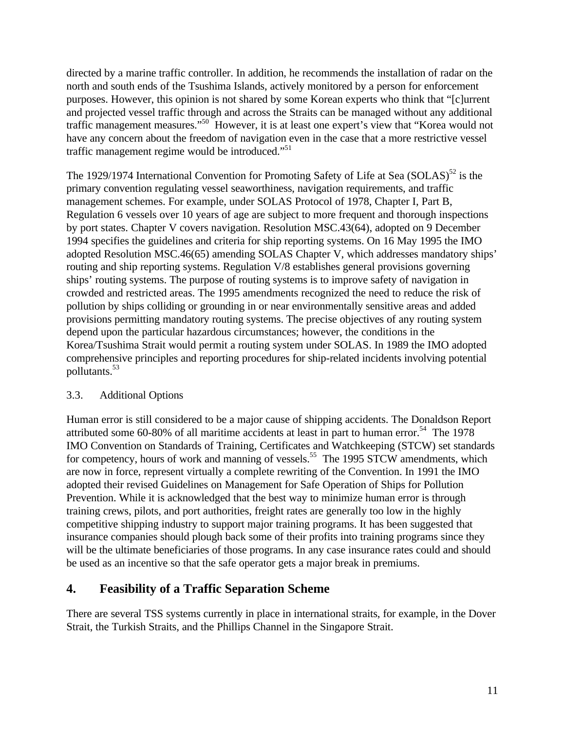directed by a marine traffic controller. In addition, he recommends the installation of radar on the north and south ends of the Tsushima Islands, actively monitored by a person for enforcement purposes. However, this opinion is not shared by some Korean experts who think that "[c]urrent and projected vessel traffic through and across the Straits can be managed without any additional traffic management measures."<sup>50</sup> However, it is at least one expert's view that "Korea would not have any concern about the freedom of navigation even in the case that a more restrictive vessel traffic management regime would be introduced."<sup>51</sup>

The 1929/1974 International Convention for Promoting Safety of Life at Sea (SOLAS)<sup>52</sup> is the primary convention regulating vessel seaworthiness, navigation requirements, and traffic management schemes. For example, under SOLAS Protocol of 1978, Chapter I, Part B, Regulation 6 vessels over 10 years of age are subject to more frequent and thorough inspections by port states. Chapter V covers navigation. Resolution MSC.43(64), adopted on 9 December 1994 specifies the guidelines and criteria for ship reporting systems. On 16 May 1995 the IMO adopted Resolution MSC.46(65) amending SOLAS Chapter V, which addresses mandatory ships' routing and ship reporting systems. Regulation V/8 establishes general provisions governing ships' routing systems. The purpose of routing systems is to improve safety of navigation in crowded and restricted areas. The 1995 amendments recognized the need to reduce the risk of pollution by ships colliding or grounding in or near environmentally sensitive areas and added provisions permitting mandatory routing systems. The precise objectives of any routing system depend upon the particular hazardous circumstances; however, the conditions in the Korea/Tsushima Strait would permit a routing system under SOLAS. In 1989 the IMO adopted comprehensive principles and reporting procedures for ship-related incidents involving potential pollutants.<sup>53</sup>

# 3.3. Additional Options

Human error is still considered to be a major cause of shipping accidents. The Donaldson Report attributed some 60-80% of all maritime accidents at least in part to human error.<sup>54</sup> The 1978 IMO Convention on Standards of Training, Certificates and Watchkeeping (STCW) set standards for competency, hours of work and manning of vessels.<sup>55</sup> The 1995 STCW amendments, which are now in force, represent virtually a complete rewriting of the Convention. In 1991 the IMO adopted their revised Guidelines on Management for Safe Operation of Ships for Pollution Prevention. While it is acknowledged that the best way to minimize human error is through training crews, pilots, and port authorities, freight rates are generally too low in the highly competitive shipping industry to support major training programs. It has been suggested that insurance companies should plough back some of their profits into training programs since they will be the ultimate beneficiaries of those programs. In any case insurance rates could and should be used as an incentive so that the safe operator gets a major break in premiums.

# **4. Feasibility of a Traffic Separation Scheme**

There are several TSS systems currently in place in international straits, for example, in the Dover Strait, the Turkish Straits, and the Phillips Channel in the Singapore Strait.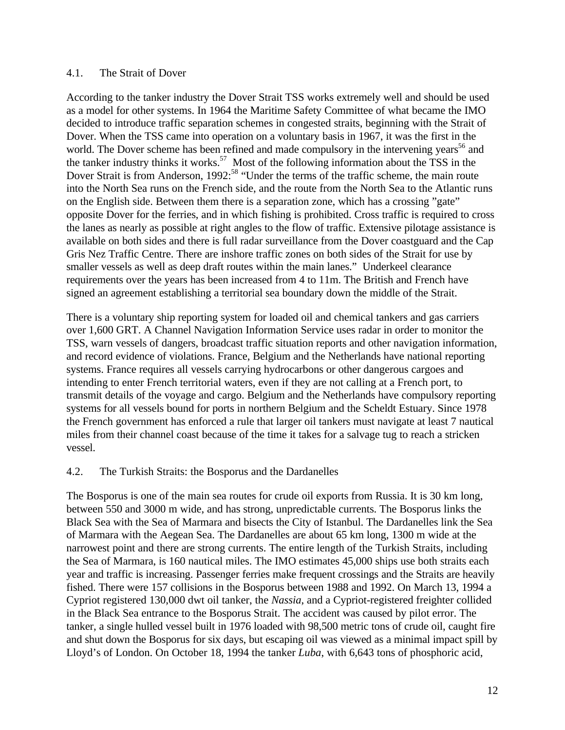#### 4.1. The Strait of Dover

According to the tanker industry the Dover Strait TSS works extremely well and should be used as a model for other systems. In 1964 the Maritime Safety Committee of what became the IMO decided to introduce traffic separation schemes in congested straits, beginning with the Strait of Dover. When the TSS came into operation on a voluntary basis in 1967, it was the first in the world. The Dover scheme has been refined and made compulsory in the intervening years<sup>56</sup> and the tanker industry thinks it works.<sup>57</sup> Most of the following information about the TSS in the Dover Strait is from Anderson, 1992:<sup>58</sup> "Under the terms of the traffic scheme, the main route into the North Sea runs on the French side, and the route from the North Sea to the Atlantic runs on the English side. Between them there is a separation zone, which has a crossing "gate" opposite Dover for the ferries, and in which fishing is prohibited. Cross traffic is required to cross the lanes as nearly as possible at right angles to the flow of traffic. Extensive pilotage assistance is available on both sides and there is full radar surveillance from the Dover coastguard and the Cap Gris Nez Traffic Centre. There are inshore traffic zones on both sides of the Strait for use by smaller vessels as well as deep draft routes within the main lanes." Underkeel clearance requirements over the years has been increased from 4 to 11m. The British and French have signed an agreement establishing a territorial sea boundary down the middle of the Strait.

There is a voluntary ship reporting system for loaded oil and chemical tankers and gas carriers over 1,600 GRT. A Channel Navigation Information Service uses radar in order to monitor the TSS, warn vessels of dangers, broadcast traffic situation reports and other navigation information, and record evidence of violations. France, Belgium and the Netherlands have national reporting systems. France requires all vessels carrying hydrocarbons or other dangerous cargoes and intending to enter French territorial waters, even if they are not calling at a French port, to transmit details of the voyage and cargo. Belgium and the Netherlands have compulsory reporting systems for all vessels bound for ports in northern Belgium and the Scheldt Estuary. Since 1978 the French government has enforced a rule that larger oil tankers must navigate at least 7 nautical miles from their channel coast because of the time it takes for a salvage tug to reach a stricken vessel.

#### 4.2. The Turkish Straits: the Bosporus and the Dardanelles

The Bosporus is one of the main sea routes for crude oil exports from Russia. It is 30 km long, between 550 and 3000 m wide, and has strong, unpredictable currents. The Bosporus links the Black Sea with the Sea of Marmara and bisects the City of Istanbul. The Dardanelles link the Sea of Marmara with the Aegean Sea. The Dardanelles are about 65 km long, 1300 m wide at the narrowest point and there are strong currents. The entire length of the Turkish Straits, including the Sea of Marmara, is 160 nautical miles. The IMO estimates 45,000 ships use both straits each year and traffic is increasing. Passenger ferries make frequent crossings and the Straits are heavily fished. There were 157 collisions in the Bosporus between 1988 and 1992. On March 13, 1994 a Cypriot registered 130,000 dwt oil tanker, the *Nassia*, and a Cypriot-registered freighter collided in the Black Sea entrance to the Bosporus Strait. The accident was caused by pilot error. The tanker, a single hulled vessel built in 1976 loaded with 98,500 metric tons of crude oil, caught fire and shut down the Bosporus for six days, but escaping oil was viewed as a minimal impact spill by Lloyd's of London. On October 18, 1994 the tanker *Luba*, with 6,643 tons of phosphoric acid,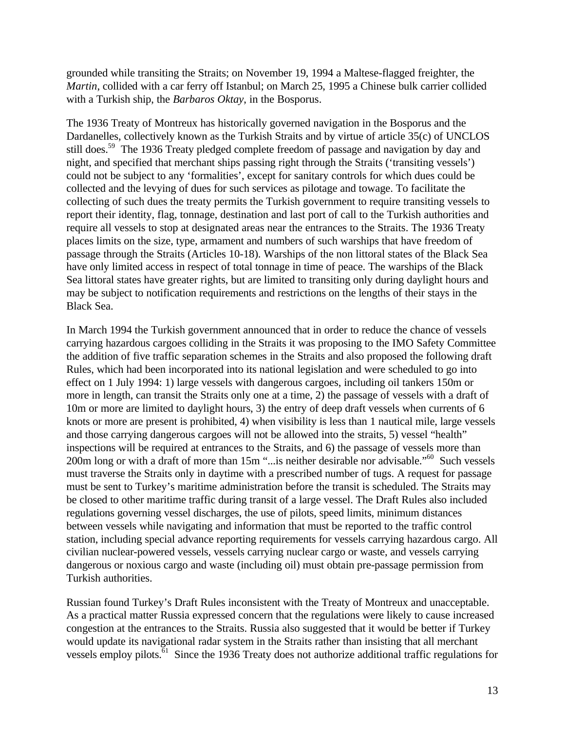grounded while transiting the Straits; on November 19, 1994 a Maltese-flagged freighter, the *Martin*, collided with a car ferry off Istanbul; on March 25, 1995 a Chinese bulk carrier collided with a Turkish ship, the *Barbaros Oktay*, in the Bosporus.

The 1936 Treaty of Montreux has historically governed navigation in the Bosporus and the Dardanelles, collectively known as the Turkish Straits and by virtue of article 35(c) of UNCLOS still does.<sup>59</sup> The 1936 Treaty pledged complete freedom of passage and navigation by day and night, and specified that merchant ships passing right through the Straits ('transiting vessels') could not be subject to any 'formalities', except for sanitary controls for which dues could be collected and the levying of dues for such services as pilotage and towage. To facilitate the collecting of such dues the treaty permits the Turkish government to require transiting vessels to report their identity, flag, tonnage, destination and last port of call to the Turkish authorities and require all vessels to stop at designated areas near the entrances to the Straits. The 1936 Treaty places limits on the size, type, armament and numbers of such warships that have freedom of passage through the Straits (Articles 10-18). Warships of the non littoral states of the Black Sea have only limited access in respect of total tonnage in time of peace. The warships of the Black Sea littoral states have greater rights, but are limited to transiting only during daylight hours and may be subject to notification requirements and restrictions on the lengths of their stays in the Black Sea.

In March 1994 the Turkish government announced that in order to reduce the chance of vessels carrying hazardous cargoes colliding in the Straits it was proposing to the IMO Safety Committee the addition of five traffic separation schemes in the Straits and also proposed the following draft Rules, which had been incorporated into its national legislation and were scheduled to go into effect on 1 July 1994: 1) large vessels with dangerous cargoes, including oil tankers 150m or more in length, can transit the Straits only one at a time, 2) the passage of vessels with a draft of 10m or more are limited to daylight hours, 3) the entry of deep draft vessels when currents of 6 knots or more are present is prohibited, 4) when visibility is less than 1 nautical mile, large vessels and those carrying dangerous cargoes will not be allowed into the straits, 5) vessel "health" inspections will be required at entrances to the Straits, and 6) the passage of vessels more than 200m long or with a draft of more than 15m "...is neither desirable nor advisable."<sup>60</sup> Such vessels must traverse the Straits only in daytime with a prescribed number of tugs. A request for passage must be sent to Turkey's maritime administration before the transit is scheduled. The Straits may be closed to other maritime traffic during transit of a large vessel. The Draft Rules also included regulations governing vessel discharges, the use of pilots, speed limits, minimum distances between vessels while navigating and information that must be reported to the traffic control station, including special advance reporting requirements for vessels carrying hazardous cargo. All civilian nuclear-powered vessels, vessels carrying nuclear cargo or waste, and vessels carrying dangerous or noxious cargo and waste (including oil) must obtain pre-passage permission from Turkish authorities.

Russian found Turkey's Draft Rules inconsistent with the Treaty of Montreux and unacceptable. As a practical matter Russia expressed concern that the regulations were likely to cause increased congestion at the entrances to the Straits. Russia also suggested that it would be better if Turkey would update its navigational radar system in the Straits rather than insisting that all merchant vessels employ pilots.<sup>61</sup> Since the 1936 Treaty does not authorize additional traffic regulations for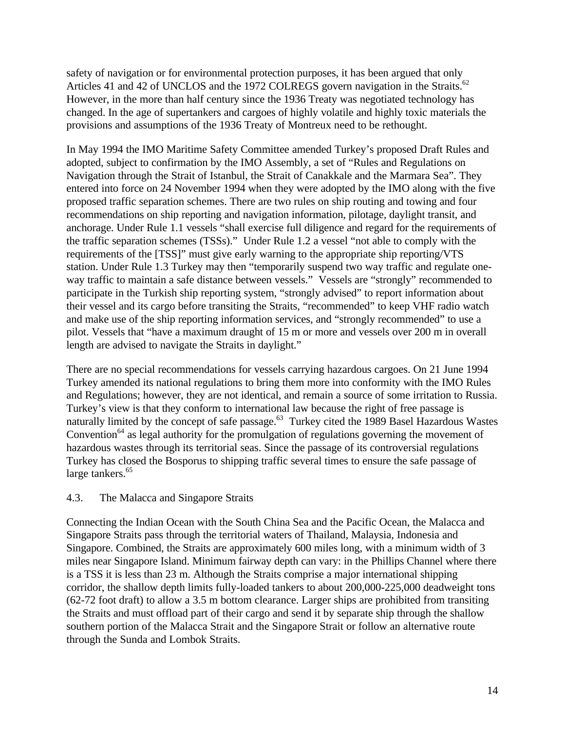safety of navigation or for environmental protection purposes, it has been argued that only Articles 41 and 42 of UNCLOS and the 1972 COLREGS govern navigation in the Straits.<sup>62</sup> However, in the more than half century since the 1936 Treaty was negotiated technology has changed. In the age of supertankers and cargoes of highly volatile and highly toxic materials the provisions and assumptions of the 1936 Treaty of Montreux need to be rethought.

In May 1994 the IMO Maritime Safety Committee amended Turkey's proposed Draft Rules and adopted, subject to confirmation by the IMO Assembly, a set of "Rules and Regulations on Navigation through the Strait of Istanbul, the Strait of Canakkale and the Marmara Sea". They entered into force on 24 November 1994 when they were adopted by the IMO along with the five proposed traffic separation schemes. There are two rules on ship routing and towing and four recommendations on ship reporting and navigation information, pilotage, daylight transit, and anchorage. Under Rule 1.1 vessels "shall exercise full diligence and regard for the requirements of the traffic separation schemes (TSSs)." Under Rule 1.2 a vessel "not able to comply with the requirements of the [TSS]" must give early warning to the appropriate ship reporting/VTS station. Under Rule 1.3 Turkey may then "temporarily suspend two way traffic and regulate oneway traffic to maintain a safe distance between vessels." Vessels are "strongly" recommended to participate in the Turkish ship reporting system, "strongly advised" to report information about their vessel and its cargo before transiting the Straits, "recommended" to keep VHF radio watch and make use of the ship reporting information services, and "strongly recommended" to use a pilot. Vessels that "have a maximum draught of 15 m or more and vessels over 200 m in overall length are advised to navigate the Straits in daylight."

There are no special recommendations for vessels carrying hazardous cargoes. On 21 June 1994 Turkey amended its national regulations to bring them more into conformity with the IMO Rules and Regulations; however, they are not identical, and remain a source of some irritation to Russia. Turkey's view is that they conform to international law because the right of free passage is naturally limited by the concept of safe passage.<sup>63</sup> Turkey cited the 1989 Basel Hazardous Wastes Convention<sup>64</sup> as legal authority for the promulgation of regulations governing the movement of hazardous wastes through its territorial seas. Since the passage of its controversial regulations Turkey has closed the Bosporus to shipping traffic several times to ensure the safe passage of large tankers.<sup>65</sup>

# 4.3. The Malacca and Singapore Straits

Connecting the Indian Ocean with the South China Sea and the Pacific Ocean, the Malacca and Singapore Straits pass through the territorial waters of Thailand, Malaysia, Indonesia and Singapore. Combined, the Straits are approximately 600 miles long, with a minimum width of 3 miles near Singapore Island. Minimum fairway depth can vary: in the Phillips Channel where there is a TSS it is less than 23 m. Although the Straits comprise a major international shipping corridor, the shallow depth limits fully-loaded tankers to about 200,000-225,000 deadweight tons (62-72 foot draft) to allow a 3.5 m bottom clearance. Larger ships are prohibited from transiting the Straits and must offload part of their cargo and send it by separate ship through the shallow southern portion of the Malacca Strait and the Singapore Strait or follow an alternative route through the Sunda and Lombok Straits.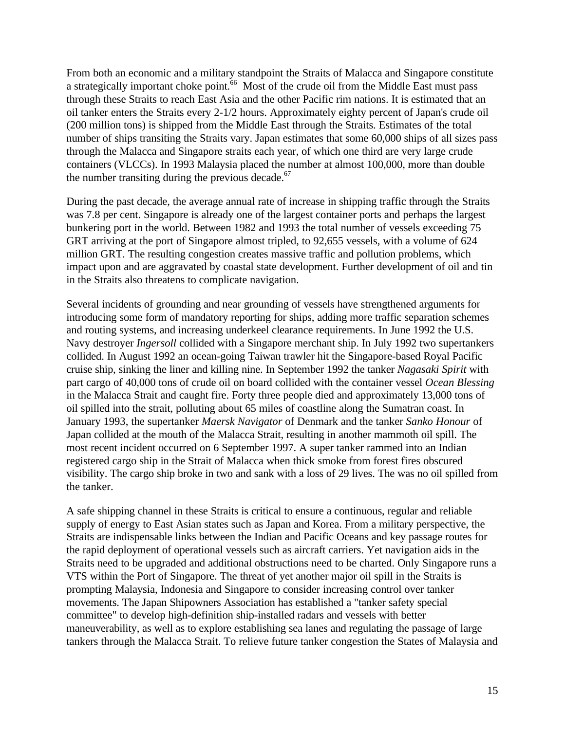From both an economic and a military standpoint the Straits of Malacca and Singapore constitute a strategically important choke point.<sup>66</sup> Most of the crude oil from the Middle East must pass through these Straits to reach East Asia and the other Pacific rim nations. It is estimated that an oil tanker enters the Straits every 2-1/2 hours. Approximately eighty percent of Japan's crude oil (200 million tons) is shipped from the Middle East through the Straits. Estimates of the total number of ships transiting the Straits vary. Japan estimates that some 60,000 ships of all sizes pass through the Malacca and Singapore straits each year, of which one third are very large crude containers (VLCCs). In 1993 Malaysia placed the number at almost 100,000, more than double the number transiting during the previous decade. $67$ 

During the past decade, the average annual rate of increase in shipping traffic through the Straits was 7.8 per cent. Singapore is already one of the largest container ports and perhaps the largest bunkering port in the world. Between 1982 and 1993 the total number of vessels exceeding 75 GRT arriving at the port of Singapore almost tripled, to 92,655 vessels, with a volume of 624 million GRT. The resulting congestion creates massive traffic and pollution problems, which impact upon and are aggravated by coastal state development. Further development of oil and tin in the Straits also threatens to complicate navigation.

Several incidents of grounding and near grounding of vessels have strengthened arguments for introducing some form of mandatory reporting for ships, adding more traffic separation schemes and routing systems, and increasing underkeel clearance requirements. In June 1992 the U.S. Navy destroyer *Ingersoll* collided with a Singapore merchant ship. In July 1992 two supertankers collided. In August 1992 an ocean-going Taiwan trawler hit the Singapore-based Royal Pacific cruise ship, sinking the liner and killing nine. In September 1992 the tanker *Nagasaki Spirit* with part cargo of 40,000 tons of crude oil on board collided with the container vessel *Ocean Blessing* in the Malacca Strait and caught fire. Forty three people died and approximately 13,000 tons of oil spilled into the strait, polluting about 65 miles of coastline along the Sumatran coast. In January 1993, the supertanker *Maersk Navigator* of Denmark and the tanker *Sanko Honour* of Japan collided at the mouth of the Malacca Strait, resulting in another mammoth oil spill. The most recent incident occurred on 6 September 1997. A super tanker rammed into an Indian registered cargo ship in the Strait of Malacca when thick smoke from forest fires obscured visibility. The cargo ship broke in two and sank with a loss of 29 lives. The was no oil spilled from the tanker.

A safe shipping channel in these Straits is critical to ensure a continuous, regular and reliable supply of energy to East Asian states such as Japan and Korea. From a military perspective, the Straits are indispensable links between the Indian and Pacific Oceans and key passage routes for the rapid deployment of operational vessels such as aircraft carriers. Yet navigation aids in the Straits need to be upgraded and additional obstructions need to be charted. Only Singapore runs a VTS within the Port of Singapore. The threat of yet another major oil spill in the Straits is prompting Malaysia, Indonesia and Singapore to consider increasing control over tanker movements. The Japan Shipowners Association has established a "tanker safety special committee" to develop high-definition ship-installed radars and vessels with better maneuverability, as well as to explore establishing sea lanes and regulating the passage of large tankers through the Malacca Strait. To relieve future tanker congestion the States of Malaysia and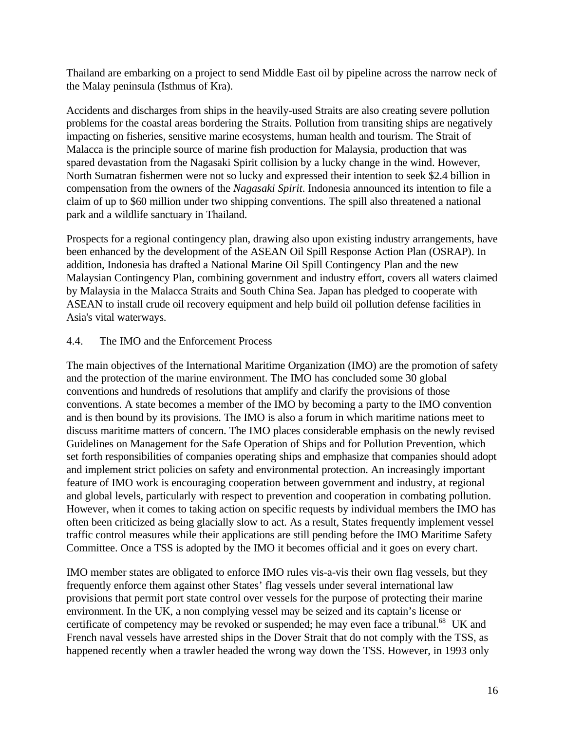Thailand are embarking on a project to send Middle East oil by pipeline across the narrow neck of the Malay peninsula (Isthmus of Kra).

Accidents and discharges from ships in the heavily-used Straits are also creating severe pollution problems for the coastal areas bordering the Straits. Pollution from transiting ships are negatively impacting on fisheries, sensitive marine ecosystems, human health and tourism. The Strait of Malacca is the principle source of marine fish production for Malaysia, production that was spared devastation from the Nagasaki Spirit collision by a lucky change in the wind. However, North Sumatran fishermen were not so lucky and expressed their intention to seek \$2.4 billion in compensation from the owners of the *Nagasaki Spirit*. Indonesia announced its intention to file a claim of up to \$60 million under two shipping conventions. The spill also threatened a national park and a wildlife sanctuary in Thailand.

Prospects for a regional contingency plan, drawing also upon existing industry arrangements, have been enhanced by the development of the ASEAN Oil Spill Response Action Plan (OSRAP). In addition, Indonesia has drafted a National Marine Oil Spill Contingency Plan and the new Malaysian Contingency Plan, combining government and industry effort, covers all waters claimed by Malaysia in the Malacca Straits and South China Sea. Japan has pledged to cooperate with ASEAN to install crude oil recovery equipment and help build oil pollution defense facilities in Asia's vital waterways.

# 4.4. The IMO and the Enforcement Process

The main objectives of the International Maritime Organization (IMO) are the promotion of safety and the protection of the marine environment. The IMO has concluded some 30 global conventions and hundreds of resolutions that amplify and clarify the provisions of those conventions. A state becomes a member of the IMO by becoming a party to the IMO convention and is then bound by its provisions. The IMO is also a forum in which maritime nations meet to discuss maritime matters of concern. The IMO places considerable emphasis on the newly revised Guidelines on Management for the Safe Operation of Ships and for Pollution Prevention, which set forth responsibilities of companies operating ships and emphasize that companies should adopt and implement strict policies on safety and environmental protection. An increasingly important feature of IMO work is encouraging cooperation between government and industry, at regional and global levels, particularly with respect to prevention and cooperation in combating pollution. However, when it comes to taking action on specific requests by individual members the IMO has often been criticized as being glacially slow to act. As a result, States frequently implement vessel traffic control measures while their applications are still pending before the IMO Maritime Safety Committee. Once a TSS is adopted by the IMO it becomes official and it goes on every chart.

IMO member states are obligated to enforce IMO rules vis-a-vis their own flag vessels, but they frequently enforce them against other States' flag vessels under several international law provisions that permit port state control over vessels for the purpose of protecting their marine environment. In the UK, a non complying vessel may be seized and its captain's license or certificate of competency may be revoked or suspended; he may even face a tribunal.<sup>68</sup> UK and French naval vessels have arrested ships in the Dover Strait that do not comply with the TSS, as happened recently when a trawler headed the wrong way down the TSS. However, in 1993 only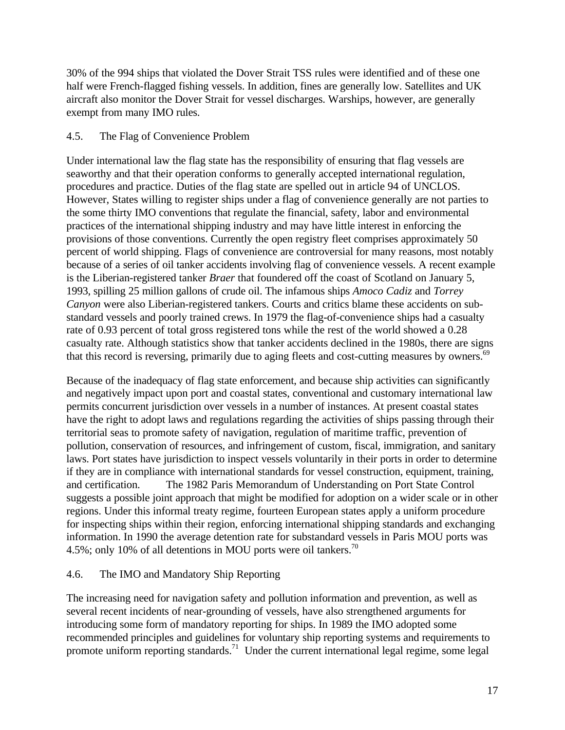30% of the 994 ships that violated the Dover Strait TSS rules were identified and of these one half were French-flagged fishing vessels. In addition, fines are generally low. Satellites and UK aircraft also monitor the Dover Strait for vessel discharges. Warships, however, are generally exempt from many IMO rules.

### 4.5. The Flag of Convenience Problem

Under international law the flag state has the responsibility of ensuring that flag vessels are seaworthy and that their operation conforms to generally accepted international regulation, procedures and practice. Duties of the flag state are spelled out in article 94 of UNCLOS. However, States willing to register ships under a flag of convenience generally are not parties to the some thirty IMO conventions that regulate the financial, safety, labor and environmental practices of the international shipping industry and may have little interest in enforcing the provisions of those conventions. Currently the open registry fleet comprises approximately 50 percent of world shipping. Flags of convenience are controversial for many reasons, most notably because of a series of oil tanker accidents involving flag of convenience vessels. A recent example is the Liberian-registered tanker *Braer* that foundered off the coast of Scotland on January 5, 1993, spilling 25 million gallons of crude oil. The infamous ships *Amoco Cadiz* and *Torrey Canyon* were also Liberian-registered tankers. Courts and critics blame these accidents on substandard vessels and poorly trained crews. In 1979 the flag-of-convenience ships had a casualty rate of 0.93 percent of total gross registered tons while the rest of the world showed a 0.28 casualty rate. Although statistics show that tanker accidents declined in the 1980s, there are signs that this record is reversing, primarily due to aging fleets and cost-cutting measures by owners.<sup>69</sup>

Because of the inadequacy of flag state enforcement, and because ship activities can significantly and negatively impact upon port and coastal states, conventional and customary international law permits concurrent jurisdiction over vessels in a number of instances. At present coastal states have the right to adopt laws and regulations regarding the activities of ships passing through their territorial seas to promote safety of navigation, regulation of maritime traffic, prevention of pollution, conservation of resources, and infringement of custom, fiscal, immigration, and sanitary laws. Port states have jurisdiction to inspect vessels voluntarily in their ports in order to determine if they are in compliance with international standards for vessel construction, equipment, training, and certification. The 1982 Paris Memorandum of Understanding on Port State Control suggests a possible joint approach that might be modified for adoption on a wider scale or in other regions. Under this informal treaty regime, fourteen European states apply a uniform procedure for inspecting ships within their region, enforcing international shipping standards and exchanging information. In 1990 the average detention rate for substandard vessels in Paris MOU ports was 4.5%; only 10% of all detentions in MOU ports were oil tankers.<sup>70</sup>

# 4.6. The IMO and Mandatory Ship Reporting

The increasing need for navigation safety and pollution information and prevention, as well as several recent incidents of near-grounding of vessels, have also strengthened arguments for introducing some form of mandatory reporting for ships. In 1989 the IMO adopted some recommended principles and guidelines for voluntary ship reporting systems and requirements to promote uniform reporting standards.<sup>71</sup> Under the current international legal regime, some legal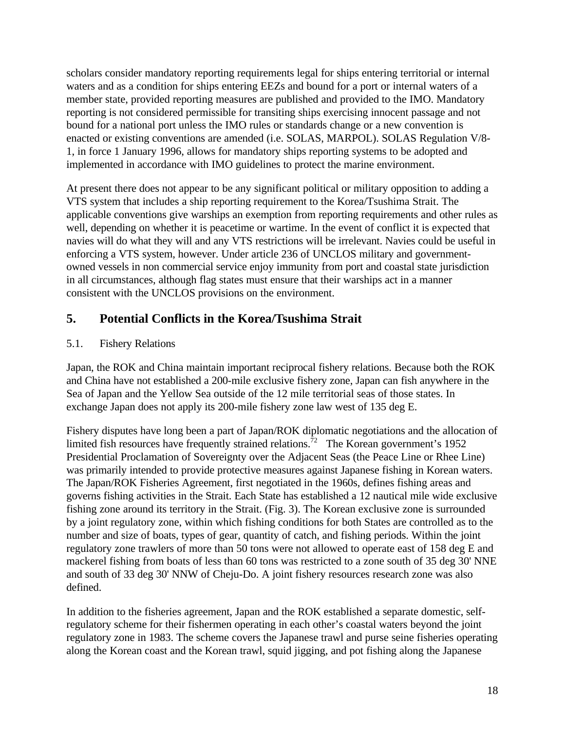scholars consider mandatory reporting requirements legal for ships entering territorial or internal waters and as a condition for ships entering EEZs and bound for a port or internal waters of a member state, provided reporting measures are published and provided to the IMO. Mandatory reporting is not considered permissible for transiting ships exercising innocent passage and not bound for a national port unless the IMO rules or standards change or a new convention is enacted or existing conventions are amended (i.e. SOLAS, MARPOL). SOLAS Regulation V/8- 1, in force 1 January 1996, allows for mandatory ships reporting systems to be adopted and implemented in accordance with IMO guidelines to protect the marine environment.

At present there does not appear to be any significant political or military opposition to adding a VTS system that includes a ship reporting requirement to the Korea/Tsushima Strait. The applicable conventions give warships an exemption from reporting requirements and other rules as well, depending on whether it is peacetime or wartime. In the event of conflict it is expected that navies will do what they will and any VTS restrictions will be irrelevant. Navies could be useful in enforcing a VTS system, however. Under article 236 of UNCLOS military and governmentowned vessels in non commercial service enjoy immunity from port and coastal state jurisdiction in all circumstances, although flag states must ensure that their warships act in a manner consistent with the UNCLOS provisions on the environment.

# **5. Potential Conflicts in the Korea/Tsushima Strait**

# 5.1. Fishery Relations

Japan, the ROK and China maintain important reciprocal fishery relations. Because both the ROK and China have not established a 200-mile exclusive fishery zone, Japan can fish anywhere in the Sea of Japan and the Yellow Sea outside of the 12 mile territorial seas of those states. In exchange Japan does not apply its 200-mile fishery zone law west of 135 deg E.

Fishery disputes have long been a part of Japan/ROK diplomatic negotiations and the allocation of limited fish resources have frequently strained relations.<sup>72</sup> The Korean government's 1952 Presidential Proclamation of Sovereignty over the Adjacent Seas (the Peace Line or Rhee Line) was primarily intended to provide protective measures against Japanese fishing in Korean waters. The Japan/ROK Fisheries Agreement, first negotiated in the 1960s, defines fishing areas and governs fishing activities in the Strait. Each State has established a 12 nautical mile wide exclusive fishing zone around its territory in the Strait. (Fig. 3). The Korean exclusive zone is surrounded by a joint regulatory zone, within which fishing conditions for both States are controlled as to the number and size of boats, types of gear, quantity of catch, and fishing periods. Within the joint regulatory zone trawlers of more than 50 tons were not allowed to operate east of 158 deg E and mackerel fishing from boats of less than 60 tons was restricted to a zone south of 35 deg 30' NNE and south of 33 deg 30' NNW of Cheju-Do. A joint fishery resources research zone was also defined.

In addition to the fisheries agreement, Japan and the ROK established a separate domestic, selfregulatory scheme for their fishermen operating in each other's coastal waters beyond the joint regulatory zone in 1983. The scheme covers the Japanese trawl and purse seine fisheries operating along the Korean coast and the Korean trawl, squid jigging, and pot fishing along the Japanese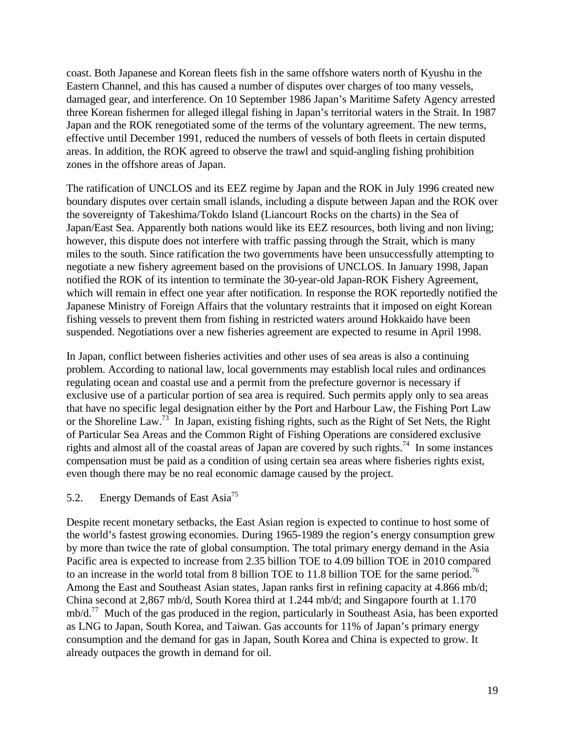coast. Both Japanese and Korean fleets fish in the same offshore waters north of Kyushu in the Eastern Channel, and this has caused a number of disputes over charges of too many vessels, damaged gear, and interference. On 10 September 1986 Japan's Maritime Safety Agency arrested three Korean fishermen for alleged illegal fishing in Japan's territorial waters in the Strait. In 1987 Japan and the ROK renegotiated some of the terms of the voluntary agreement. The new terms, effective until December 1991, reduced the numbers of vessels of both fleets in certain disputed areas. In addition, the ROK agreed to observe the trawl and squid-angling fishing prohibition zones in the offshore areas of Japan.

The ratification of UNCLOS and its EEZ regime by Japan and the ROK in July 1996 created new boundary disputes over certain small islands, including a dispute between Japan and the ROK over the sovereignty of Takeshima/Tokdo Island (Liancourt Rocks on the charts) in the Sea of Japan/East Sea. Apparently both nations would like its EEZ resources, both living and non living; however, this dispute does not interfere with traffic passing through the Strait, which is many miles to the south. Since ratification the two governments have been unsuccessfully attempting to negotiate a new fishery agreement based on the provisions of UNCLOS. In January 1998, Japan notified the ROK of its intention to terminate the 30-year-old Japan-ROK Fishery Agreement, which will remain in effect one year after notification. In response the ROK reportedly notified the Japanese Ministry of Foreign Affairs that the voluntary restraints that it imposed on eight Korean fishing vessels to prevent them from fishing in restricted waters around Hokkaido have been suspended. Negotiations over a new fisheries agreement are expected to resume in April 1998.

In Japan, conflict between fisheries activities and other uses of sea areas is also a continuing problem. According to national law, local governments may establish local rules and ordinances regulating ocean and coastal use and a permit from the prefecture governor is necessary if exclusive use of a particular portion of sea area is required. Such permits apply only to sea areas that have no specific legal designation either by the Port and Harbour Law, the Fishing Port Law or the Shoreline Law.<sup>73</sup> In Japan, existing fishing rights, such as the Right of Set Nets, the Right of Particular Sea Areas and the Common Right of Fishing Operations are considered exclusive rights and almost all of the coastal areas of Japan are covered by such rights.<sup>74</sup> In some instances compensation must be paid as a condition of using certain sea areas where fisheries rights exist, even though there may be no real economic damage caused by the project.

# 5.2. Energy Demands of East Asia<sup>75</sup>

Despite recent monetary setbacks, the East Asian region is expected to continue to host some of the world's fastest growing economies. During 1965-1989 the region's energy consumption grew by more than twice the rate of global consumption. The total primary energy demand in the Asia Pacific area is expected to increase from 2.35 billion TOE to 4.09 billion TOE in 2010 compared to an increase in the world total from 8 billion TOE to 11.8 billion TOE for the same period.<sup>76</sup> Among the East and Southeast Asian states, Japan ranks first in refining capacity at 4.866 mb/d; China second at 2,867 mb/d, South Korea third at 1.244 mb/d; and Singapore fourth at 1.170  $mb/d.<sup>77</sup>$  Much of the gas produced in the region, particularly in Southeast Asia, has been exported as LNG to Japan, South Korea, and Taiwan. Gas accounts for 11% of Japan's primary energy consumption and the demand for gas in Japan, South Korea and China is expected to grow. It already outpaces the growth in demand for oil.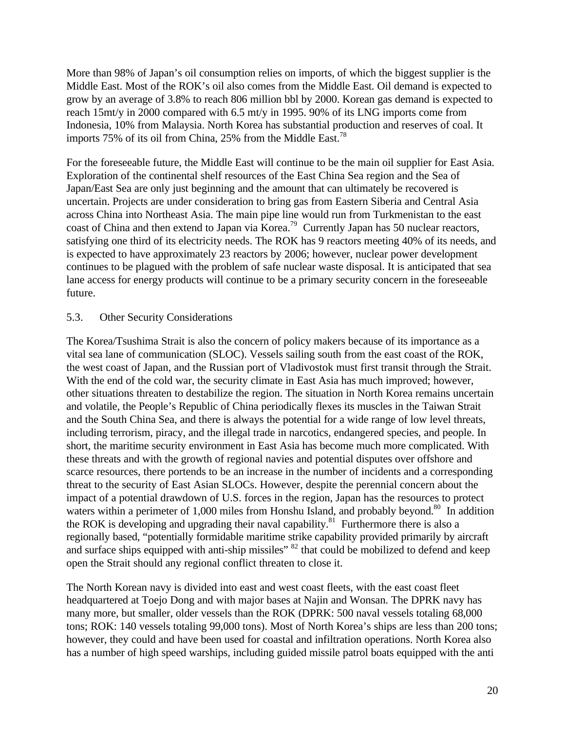More than 98% of Japan's oil consumption relies on imports, of which the biggest supplier is the Middle East. Most of the ROK's oil also comes from the Middle East. Oil demand is expected to grow by an average of 3.8% to reach 806 million bbl by 2000. Korean gas demand is expected to reach 15mt/y in 2000 compared with 6.5 mt/y in 1995. 90% of its LNG imports come from Indonesia, 10% from Malaysia. North Korea has substantial production and reserves of coal. It imports 75% of its oil from China, 25% from the Middle East.<sup>78</sup>

For the foreseeable future, the Middle East will continue to be the main oil supplier for East Asia. Exploration of the continental shelf resources of the East China Sea region and the Sea of Japan/East Sea are only just beginning and the amount that can ultimately be recovered is uncertain. Projects are under consideration to bring gas from Eastern Siberia and Central Asia across China into Northeast Asia. The main pipe line would run from Turkmenistan to the east coast of China and then extend to Japan via Korea.<sup>79</sup> Currently Japan has 50 nuclear reactors, satisfying one third of its electricity needs. The ROK has 9 reactors meeting 40% of its needs, and is expected to have approximately 23 reactors by 2006; however, nuclear power development continues to be plagued with the problem of safe nuclear waste disposal. It is anticipated that sea lane access for energy products will continue to be a primary security concern in the foreseeable future.

#### 5.3. Other Security Considerations

The Korea/Tsushima Strait is also the concern of policy makers because of its importance as a vital sea lane of communication (SLOC). Vessels sailing south from the east coast of the ROK, the west coast of Japan, and the Russian port of Vladivostok must first transit through the Strait. With the end of the cold war, the security climate in East Asia has much improved; however, other situations threaten to destabilize the region. The situation in North Korea remains uncertain and volatile, the People's Republic of China periodically flexes its muscles in the Taiwan Strait and the South China Sea, and there is always the potential for a wide range of low level threats, including terrorism, piracy, and the illegal trade in narcotics, endangered species, and people. In short, the maritime security environment in East Asia has become much more complicated. With these threats and with the growth of regional navies and potential disputes over offshore and scarce resources, there portends to be an increase in the number of incidents and a corresponding threat to the security of East Asian SLOCs. However, despite the perennial concern about the impact of a potential drawdown of U.S. forces in the region, Japan has the resources to protect waters within a perimeter of 1,000 miles from Honshu Island, and probably beyond.<sup>80</sup> In addition the ROK is developing and upgrading their naval capability.<sup>81</sup> Furthermore there is also a regionally based, "potentially formidable maritime strike capability provided primarily by aircraft and surface ships equipped with anti-ship missiles"  $82$  that could be mobilized to defend and keep open the Strait should any regional conflict threaten to close it.

The North Korean navy is divided into east and west coast fleets, with the east coast fleet headquartered at Toejo Dong and with major bases at Najin and Wonsan. The DPRK navy has many more, but smaller, older vessels than the ROK (DPRK: 500 naval vessels totaling 68,000 tons; ROK: 140 vessels totaling 99,000 tons). Most of North Korea's ships are less than 200 tons; however, they could and have been used for coastal and infiltration operations. North Korea also has a number of high speed warships, including guided missile patrol boats equipped with the anti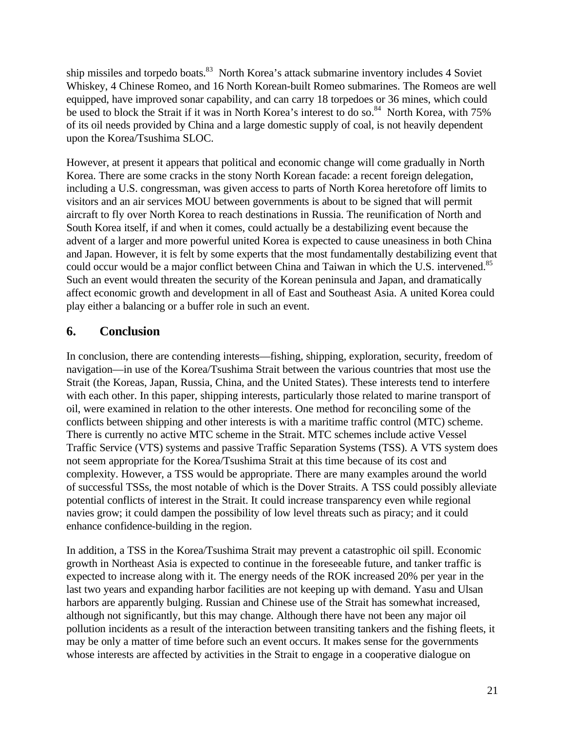ship missiles and torpedo boats.<sup>83</sup> North Korea's attack submarine inventory includes 4 Soviet Whiskey, 4 Chinese Romeo, and 16 North Korean-built Romeo submarines. The Romeos are well equipped, have improved sonar capability, and can carry 18 torpedoes or 36 mines, which could be used to block the Strait if it was in North Korea's interest to do so.<sup>84</sup> North Korea, with 75% of its oil needs provided by China and a large domestic supply of coal, is not heavily dependent upon the Korea/Tsushima SLOC.

However, at present it appears that political and economic change will come gradually in North Korea. There are some cracks in the stony North Korean facade: a recent foreign delegation, including a U.S. congressman, was given access to parts of North Korea heretofore off limits to visitors and an air services MOU between governments is about to be signed that will permit aircraft to fly over North Korea to reach destinations in Russia. The reunification of North and South Korea itself, if and when it comes, could actually be a destabilizing event because the advent of a larger and more powerful united Korea is expected to cause uneasiness in both China and Japan. However, it is felt by some experts that the most fundamentally destabilizing event that could occur would be a major conflict between China and Taiwan in which the U.S. intervened.<sup>85</sup> Such an event would threaten the security of the Korean peninsula and Japan, and dramatically affect economic growth and development in all of East and Southeast Asia. A united Korea could play either a balancing or a buffer role in such an event.

# **6. Conclusion**

In conclusion, there are contending interests—fishing, shipping, exploration, security, freedom of navigation—in use of the Korea/Tsushima Strait between the various countries that most use the Strait (the Koreas, Japan, Russia, China, and the United States). These interests tend to interfere with each other. In this paper, shipping interests, particularly those related to marine transport of oil, were examined in relation to the other interests. One method for reconciling some of the conflicts between shipping and other interests is with a maritime traffic control (MTC) scheme. There is currently no active MTC scheme in the Strait. MTC schemes include active Vessel Traffic Service (VTS) systems and passive Traffic Separation Systems (TSS). A VTS system does not seem appropriate for the Korea/Tsushima Strait at this time because of its cost and complexity. However, a TSS would be appropriate. There are many examples around the world of successful TSSs, the most notable of which is the Dover Straits. A TSS could possibly alleviate potential conflicts of interest in the Strait. It could increase transparency even while regional navies grow; it could dampen the possibility of low level threats such as piracy; and it could enhance confidence-building in the region.

In addition, a TSS in the Korea/Tsushima Strait may prevent a catastrophic oil spill. Economic growth in Northeast Asia is expected to continue in the foreseeable future, and tanker traffic is expected to increase along with it. The energy needs of the ROK increased 20% per year in the last two years and expanding harbor facilities are not keeping up with demand. Yasu and Ulsan harbors are apparently bulging. Russian and Chinese use of the Strait has somewhat increased, although not significantly, but this may change. Although there have not been any major oil pollution incidents as a result of the interaction between transiting tankers and the fishing fleets, it may be only a matter of time before such an event occurs. It makes sense for the governments whose interests are affected by activities in the Strait to engage in a cooperative dialogue on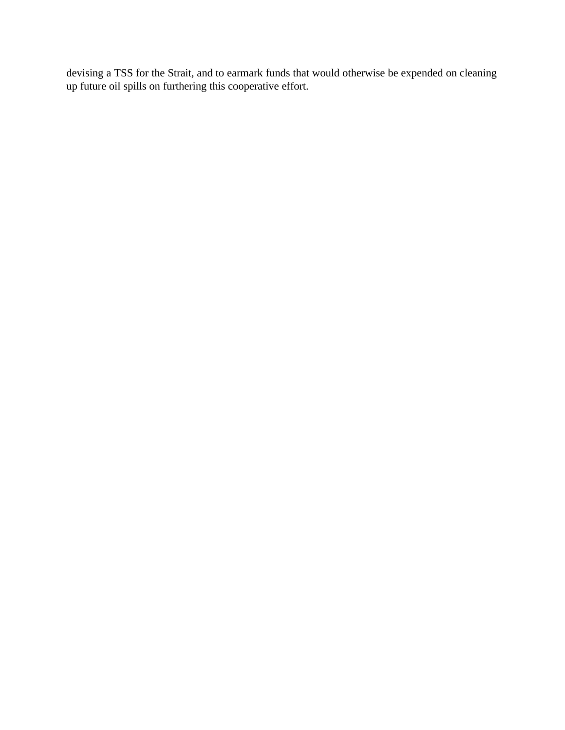devising a TSS for the Strait, and to earmark funds that would otherwise be expended on cleaning up future oil spills on furthering this cooperative effort.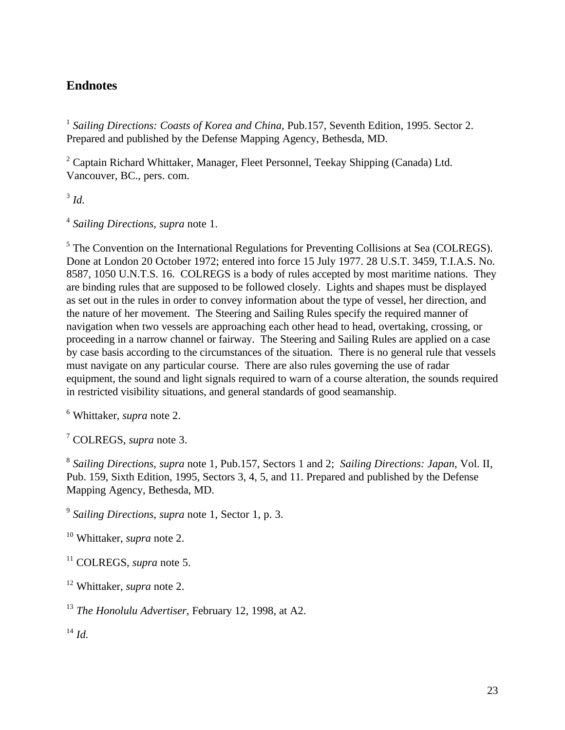# **Endnotes**

<sup>1</sup> Sailing Directions: Coasts of Korea and China, Pub.157, Seventh Edition, 1995. Sector 2. Prepared and published by the Defense Mapping Agency, Bethesda, MD.

<sup>2</sup> Captain Richard Whittaker, Manager, Fleet Personnel, Teekay Shipping (Canada) Ltd. Vancouver, BC., pers. com.

3 *Id.*

4 *Sailing Directions*, *supra* note 1.

<sup>5</sup> The Convention on the International Regulations for Preventing Collisions at Sea (COLREGS). Done at London 20 October 1972; entered into force 15 July 1977. 28 U.S.T. 3459, T.I.A.S. No. 8587, 1050 U.N.T.S. 16. COLREGS is a body of rules accepted by most maritime nations. They are binding rules that are supposed to be followed closely. Lights and shapes must be displayed as set out in the rules in order to convey information about the type of vessel, her direction, and the nature of her movement. The Steering and Sailing Rules specify the required manner of navigation when two vessels are approaching each other head to head, overtaking, crossing, or proceeding in a narrow channel or fairway. The Steering and Sailing Rules are applied on a case by case basis according to the circumstances of the situation. There is no general rule that vessels must navigate on any particular course. There are also rules governing the use of radar equipment, the sound and light signals required to warn of a course alteration, the sounds required in restricted visibility situations, and general standards of good seamanship.

6 Whittaker, *supra* note 2.

7 COLREGS, *supra* note 3.

8 *Sailing Directions*, *supra* note 1, Pub.157, Sectors 1 and 2; *Sailing Directions: Japan*, Vol. II, Pub. 159, Sixth Edition, 1995, Sectors 3, 4, 5, and 11. Prepared and published by the Defense Mapping Agency, Bethesda, MD.

9 *Sailing Directions*, *supra* note 1, Sector 1, p. 3.

<sup>10</sup> Whittaker, *supra* note 2.

<sup>11</sup> COLREGS, *supra* note 5.

<sup>12</sup> Whittaker, *supra* note 2.

<sup>13</sup> *The Honolulu Advertiser,* February 12, 1998, at A2.

<sup>14</sup> *Id.*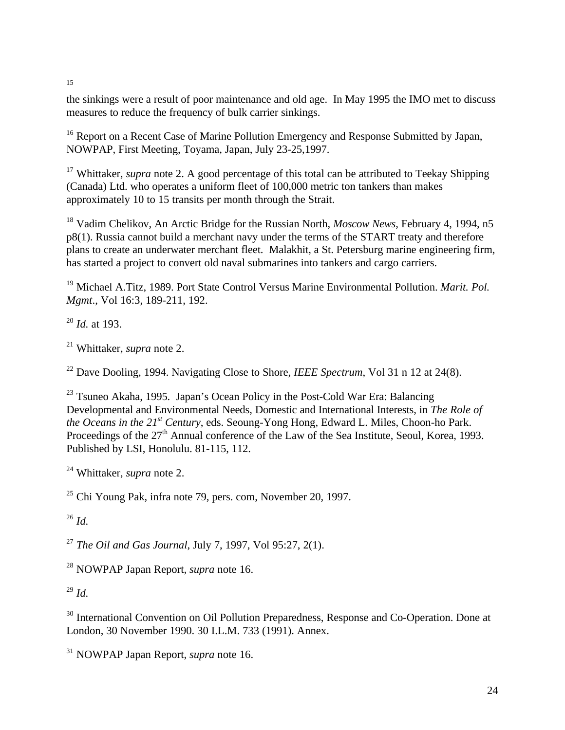15

the sinkings were a result of poor maintenance and old age. In May 1995 the IMO met to discuss measures to reduce the frequency of bulk carrier sinkings.

<sup>16</sup> Report on a Recent Case of Marine Pollution Emergency and Response Submitted by Japan, NOWPAP, First Meeting, Toyama, Japan, July 23-25,1997.

<sup>17</sup> Whittaker, *supra* note 2. A good percentage of this total can be attributed to Teekay Shipping (Canada) Ltd. who operates a uniform fleet of 100,000 metric ton tankers than makes approximately 10 to 15 transits per month through the Strait.

<sup>18</sup> Vadim Chelikov, An Arctic Bridge for the Russian North, *Moscow News*, February 4, 1994, n5 p8(1). Russia cannot build a merchant navy under the terms of the START treaty and therefore plans to create an underwater merchant fleet. Malakhit, a St. Petersburg marine engineering firm, has started a project to convert old naval submarines into tankers and cargo carriers.

<sup>19</sup> Michael A.Titz, 1989. Port State Control Versus Marine Environmental Pollution. *Marit. Pol. Mgmt*., Vol 16:3, 189-211, 192.

<sup>20</sup> *Id.* at 193.

<sup>21</sup> Whittaker, *supra* note 2.

<sup>22</sup> Dave Dooling, 1994. Navigating Close to Shore, *IEEE Spectrum*, Vol 31 n 12 at 24(8).

 $23$  Tsuneo Akaha, 1995. Japan's Ocean Policy in the Post-Cold War Era: Balancing Developmental and Environmental Needs, Domestic and International Interests, in *The Role of the Oceans in the 21st Century*, eds. Seoung-Yong Hong, Edward L. Miles, Choon-ho Park. Proceedings of the 27<sup>th</sup> Annual conference of the Law of the Sea Institute, Seoul, Korea, 1993. Published by LSI, Honolulu. 81-115, 112.

<sup>24</sup> Whittaker, *supra* note 2.

 $25$  Chi Young Pak, infra note 79, pers. com, November 20, 1997.

<sup>26</sup> *Id.*

<sup>27</sup> *The Oil and Gas Journal*, July 7, 1997, Vol 95:27, 2(1).

<sup>28</sup> NOWPAP Japan Report, *supra* note 16.

<sup>29</sup> *Id.*

<sup>30</sup> International Convention on Oil Pollution Preparedness, Response and Co-Operation. Done at London, 30 November 1990. 30 I.L.M. 733 (1991). Annex.

<sup>31</sup> NOWPAP Japan Report, *supra* note 16.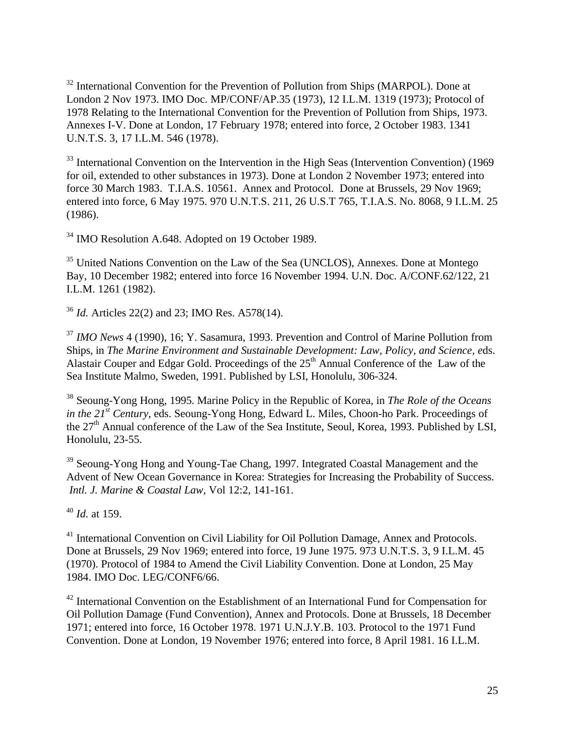<sup>32</sup> International Convention for the Prevention of Pollution from Ships (MARPOL). Done at London 2 Nov 1973. IMO Doc. MP/CONF/AP.35 (1973), 12 I.L.M. 1319 (1973); Protocol of 1978 Relating to the International Convention for the Prevention of Pollution from Ships, 1973. Annexes I-V. Done at London, 17 February 1978; entered into force, 2 October 1983. 1341 U.N.T.S. 3, 17 I.L.M. 546 (1978).

<sup>33</sup> International Convention on the Intervention in the High Seas (Intervention Convention) (1969 for oil, extended to other substances in 1973). Done at London 2 November 1973; entered into force 30 March 1983. T.I.A.S. 10561. Annex and Protocol. Done at Brussels, 29 Nov 1969; entered into force, 6 May 1975. 970 U.N.T.S. 211, 26 U.S.T 765, T.I.A.S. No. 8068, 9 I.L.M. 25 (1986).

<sup>34</sup> IMO Resolution A.648. Adopted on 19 October 1989.

<sup>35</sup> United Nations Convention on the Law of the Sea (UNCLOS), Annexes. Done at Montego Bay, 10 December 1982; entered into force 16 November 1994. U.N. Doc. A/CONF.62/122, 21 I.L.M. 1261 (1982).

<sup>36</sup> *Id.* Articles 22(2) and 23; IMO Res. A578(14).

<sup>37</sup> *IMO News* 4 (1990), 16; Y. Sasamura, 1993. Prevention and Control of Marine Pollution from Ships, in *The Marine Environment and Sustainable Development: Law, Policy, and Science, e*ds. Alastair Couper and Edgar Gold. Proceedings of the 25<sup>th</sup> Annual Conference of the Law of the Sea Institute Malmo, Sweden, 1991. Published by LSI, Honolulu, 306-324.

<sup>38</sup> Seoung-Yong Hong, 1995. Marine Policy in the Republic of Korea, in *The Role of the Oceans in the 21st Century*, eds. Seoung-Yong Hong, Edward L. Miles, Choon-ho Park. Proceedings of the 27<sup>th</sup> Annual conference of the Law of the Sea Institute, Seoul, Korea, 1993. Published by LSI, Honolulu, 23-55.

<sup>39</sup> Seoung-Yong Hong and Young-Tae Chang, 1997. Integrated Coastal Management and the Advent of New Ocean Governance in Korea: Strategies for Increasing the Probability of Success. *Intl. J. Marine & Coastal Law*, Vol 12:2, 141-161.

<sup>40</sup> *Id.* at 159.

<sup>41</sup> International Convention on Civil Liability for Oil Pollution Damage, Annex and Protocols. Done at Brussels, 29 Nov 1969; entered into force, 19 June 1975. 973 U.N.T.S. 3, 9 I.L.M. 45 (1970). Protocol of 1984 to Amend the Civil Liability Convention. Done at London, 25 May 1984. IMO Doc. LEG/CONF6/66.

<sup>42</sup> International Convention on the Establishment of an International Fund for Compensation for Oil Pollution Damage (Fund Convention), Annex and Protocols. Done at Brussels, 18 December 1971; entered into force, 16 October 1978. 1971 U.N.J.Y.B. 103. Protocol to the 1971 Fund Convention. Done at London, 19 November 1976; entered into force, 8 April 1981. 16 I.L.M.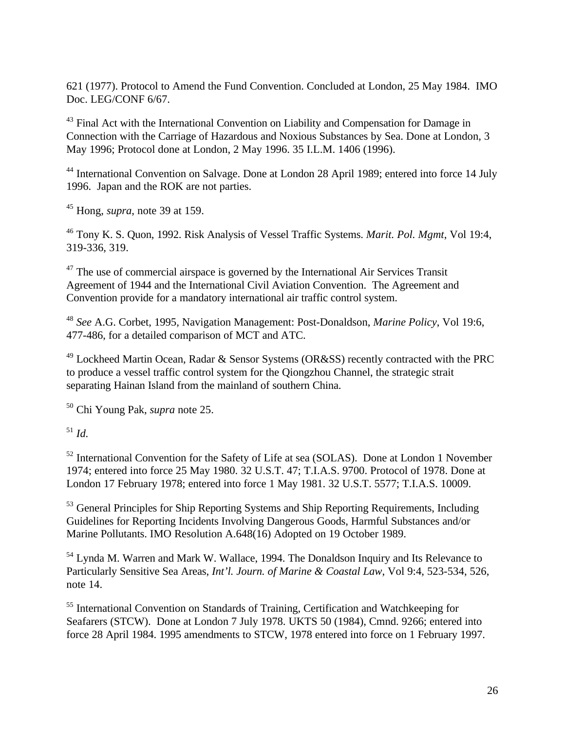621 (1977). Protocol to Amend the Fund Convention. Concluded at London, 25 May 1984. IMO Doc. LEG/CONF 6/67.

<sup>43</sup> Final Act with the International Convention on Liability and Compensation for Damage in Connection with the Carriage of Hazardous and Noxious Substances by Sea. Done at London, 3 May 1996; Protocol done at London, 2 May 1996. 35 I.L.M. 1406 (1996).

<sup>44</sup> International Convention on Salvage. Done at London 28 April 1989; entered into force 14 July 1996. Japan and the ROK are not parties.

<sup>45</sup> Hong, *supra*, note 39 at 159.

<sup>46</sup> Tony K. S. Quon, 1992. Risk Analysis of Vessel Traffic Systems. *Marit. Pol. Mgmt*, Vol 19:4, 319-336, 319.

 $47$  The use of commercial airspace is governed by the International Air Services Transit Agreement of 1944 and the International Civil Aviation Convention. The Agreement and Convention provide for a mandatory international air traffic control system.

<sup>48</sup> *See* A.G. Corbet, 1995, Navigation Management: Post-Donaldson, *Marine Policy*, Vol 19:6, 477-486, for a detailed comparison of MCT and ATC.

<sup>49</sup> Lockheed Martin Ocean, Radar & Sensor Systems (OR&SS) recently contracted with the PRC to produce a vessel traffic control system for the Qiongzhou Channel, the strategic strait separating Hainan Island from the mainland of southern China.

<sup>50</sup> Chi Young Pak, *supra* note 25.

<sup>51</sup> *Id.*

<sup>52</sup> International Convention for the Safety of Life at sea (SOLAS). Done at London 1 November 1974; entered into force 25 May 1980. 32 U.S.T. 47; T.I.A.S. 9700. Protocol of 1978. Done at London 17 February 1978; entered into force 1 May 1981. 32 U.S.T. 5577; T.I.A.S. 10009.

<sup>53</sup> General Principles for Ship Reporting Systems and Ship Reporting Requirements, Including Guidelines for Reporting Incidents Involving Dangerous Goods, Harmful Substances and/or Marine Pollutants. IMO Resolution A.648(16) Adopted on 19 October 1989.

<sup>54</sup> Lynda M. Warren and Mark W. Wallace, 1994. The Donaldson Inquiry and Its Relevance to Particularly Sensitive Sea Areas, *Int'l. Journ. of Marine & Coastal Law*, Vol 9:4, 523-534, 526, note 14.

<sup>55</sup> International Convention on Standards of Training, Certification and Watchkeeping for Seafarers (STCW). Done at London 7 July 1978. UKTS 50 (1984), Cmnd. 9266; entered into force 28 April 1984. 1995 amendments to STCW, 1978 entered into force on 1 February 1997.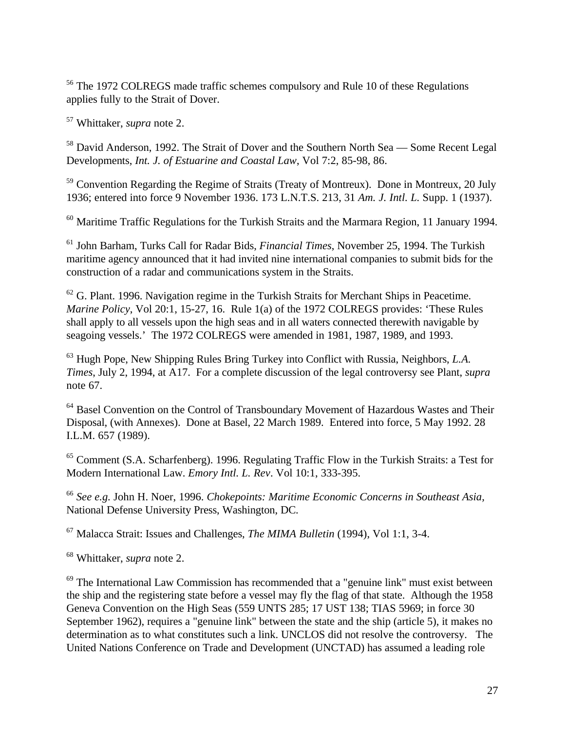<sup>56</sup> The 1972 COLREGS made traffic schemes compulsory and Rule 10 of these Regulations applies fully to the Strait of Dover.

<sup>57</sup> Whittaker, *supra* note 2.

<sup>58</sup> David Anderson, 1992. The Strait of Dover and the Southern North Sea — Some Recent Legal Developments, *Int. J. of Estuarine and Coastal Law*, Vol 7:2, 85-98, 86.

 $59$  Convention Regarding the Regime of Straits (Treaty of Montreux). Done in Montreux, 20 July 1936; entered into force 9 November 1936. 173 L.N.T.S. 213, 31 *Am. J. Intl. L.* Supp. 1 (1937).

 $60$  Maritime Traffic Regulations for the Turkish Straits and the Marmara Region, 11 January 1994.

<sup>61</sup> John Barham, Turks Call for Radar Bids, *Financial Times*, November 25, 1994. The Turkish maritime agency announced that it had invited nine international companies to submit bids for the construction of a radar and communications system in the Straits.

 $62$  G. Plant. 1996. Navigation regime in the Turkish Straits for Merchant Ships in Peacetime. *Marine Policy*, Vol 20:1, 15-27, 16. Rule 1(a) of the 1972 COLREGS provides: 'These Rules shall apply to all vessels upon the high seas and in all waters connected therewith navigable by seagoing vessels.' The 1972 COLREGS were amended in 1981, 1987, 1989, and 1993.

<sup>63</sup> Hugh Pope, New Shipping Rules Bring Turkey into Conflict with Russia, Neighbors, *L.A. Times*, July 2, 1994, at A17. For a complete discussion of the legal controversy see Plant, *supra* note 67.

<sup>64</sup> Basel Convention on the Control of Transboundary Movement of Hazardous Wastes and Their Disposal, (with Annexes). Done at Basel, 22 March 1989. Entered into force, 5 May 1992. 28 I.L.M. 657 (1989).

<sup>65</sup> Comment (S.A. Scharfenberg). 1996. Regulating Traffic Flow in the Turkish Straits: a Test for Modern International Law. *Emory Intl. L. Rev*. Vol 10:1, 333-395.

<sup>66</sup> *See e.g.* John H. Noer, 1996. *Chokepoints: Maritime Economic Concerns in Southeast Asia,* National Defense University Press, Washington, DC.

<sup>67</sup> Malacca Strait: Issues and Challenges, *The MIMA Bulletin* (1994), Vol 1:1, 3-4.

<sup>68</sup> Whittaker, *supra* note 2.

 $69$  The International Law Commission has recommended that a "genuine link" must exist between the ship and the registering state before a vessel may fly the flag of that state. Although the 1958 Geneva Convention on the High Seas (559 UNTS 285; 17 UST 138; TIAS 5969; in force 30 September 1962), requires a "genuine link" between the state and the ship (article 5), it makes no determination as to what constitutes such a link. UNCLOS did not resolve the controversy. The United Nations Conference on Trade and Development (UNCTAD) has assumed a leading role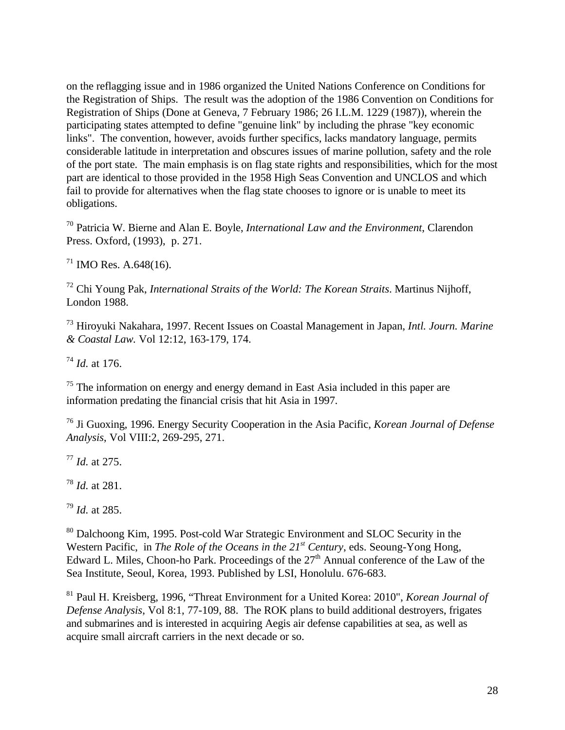on the reflagging issue and in 1986 organized the United Nations Conference on Conditions for the Registration of Ships. The result was the adoption of the 1986 Convention on Conditions for Registration of Ships (Done at Geneva, 7 February 1986; 26 I.L.M. 1229 (1987)), wherein the participating states attempted to define "genuine link" by including the phrase "key economic links". The convention, however, avoids further specifics, lacks mandatory language, permits considerable latitude in interpretation and obscures issues of marine pollution, safety and the role of the port state. The main emphasis is on flag state rights and responsibilities, which for the most part are identical to those provided in the 1958 High Seas Convention and UNCLOS and which fail to provide for alternatives when the flag state chooses to ignore or is unable to meet its obligations.

<sup>70</sup> Patricia W. Bierne and Alan E. Boyle, *International Law and the Environment*, Clarendon Press. Oxford, (1993), p. 271.

 $71$  IMO Res. A.648(16).

<sup>72</sup> Chi Young Pak, *International Straits of the World: The Korean Straits*. Martinus Nijhoff, London 1988.

<sup>73</sup> Hiroyuki Nakahara, 1997. Recent Issues on Coastal Management in Japan, *Intl. Journ. Marine & Coastal Law.* Vol 12:12, 163-179, 174.

<sup>74</sup> *Id.* at 176.

 $75$  The information on energy and energy demand in East Asia included in this paper are information predating the financial crisis that hit Asia in 1997.

<sup>76</sup> Ji Guoxing, 1996. Energy Security Cooperation in the Asia Pacific, *Korean Journal of Defense Analysis*, Vol VIII:2, 269-295, 271.

<sup>77</sup> *Id.* at 275.

<sup>78</sup> *Id.* at 281.

<sup>79</sup> *Id.* at 285.

<sup>80</sup> Dalchoong Kim, 1995. Post-cold War Strategic Environment and SLOC Security in the Western Pacific, in *The Role of the Oceans in the 21st Century*, eds. Seoung-Yong Hong, Edward L. Miles, Choon-ho Park. Proceedings of the 27<sup>th</sup> Annual conference of the Law of the Sea Institute, Seoul, Korea, 1993. Published by LSI, Honolulu. 676-683.

<sup>81</sup> Paul H. Kreisberg, 1996, "Threat Environment for a United Korea: 2010", *Korean Journal of Defense Analysis*, Vol 8:1, 77-109, 88. The ROK plans to build additional destroyers, frigates and submarines and is interested in acquiring Aegis air defense capabilities at sea, as well as acquire small aircraft carriers in the next decade or so.